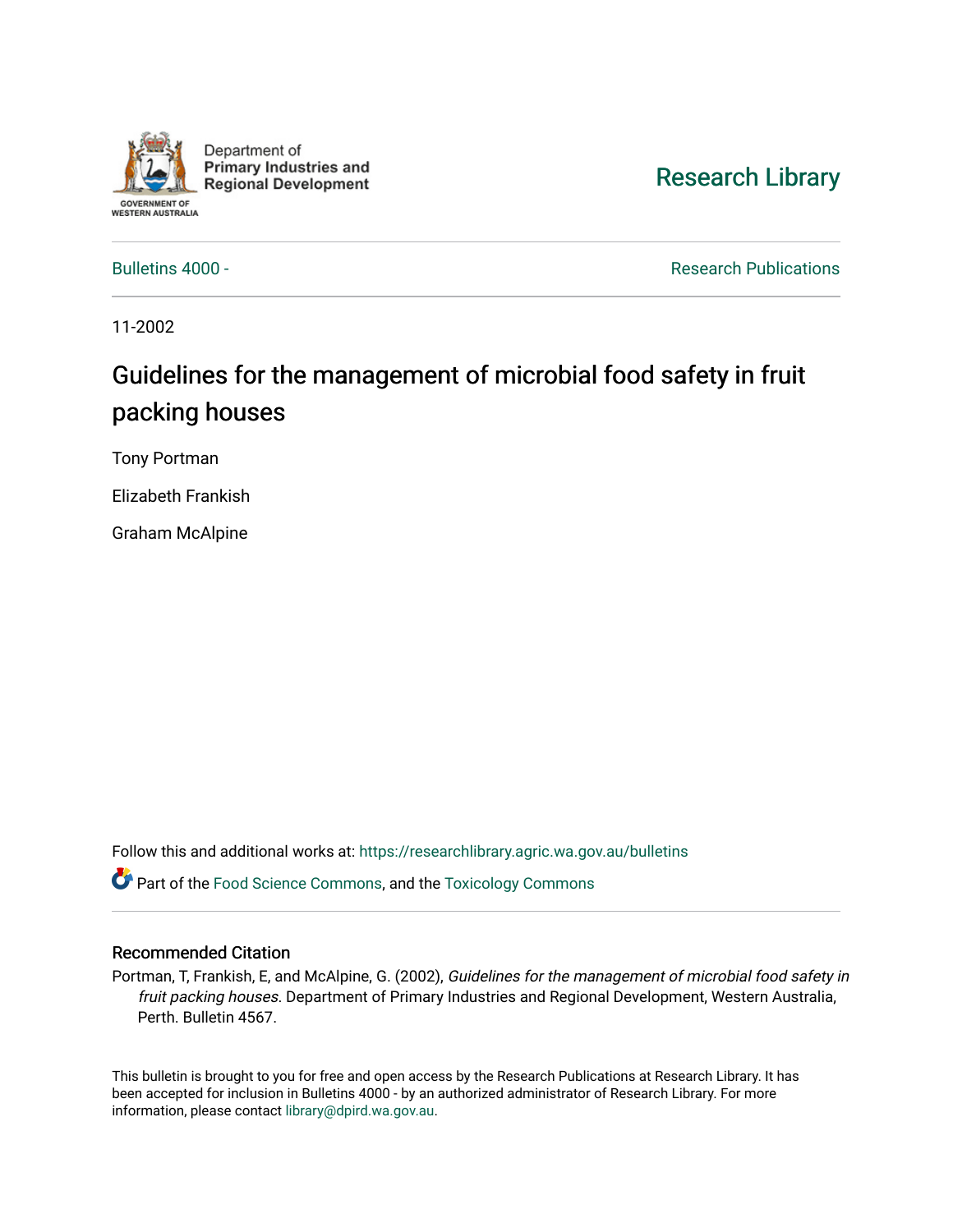

Department of **Primary Industries and Regional Development** 

# [Research Library](https://researchlibrary.agric.wa.gov.au/)

[Bulletins 4000 -](https://researchlibrary.agric.wa.gov.au/bulletins) **Research Publications Research Publications** 

11-2002

# Guidelines for the management of microbial food safety in fruit packing houses

Tony Portman

Elizabeth Frankish

Graham McAlpine

Follow this and additional works at: [https://researchlibrary.agric.wa.gov.au/bulletins](https://researchlibrary.agric.wa.gov.au/bulletins?utm_source=researchlibrary.agric.wa.gov.au%2Fbulletins%2F69&utm_medium=PDF&utm_campaign=PDFCoverPages)

**C** Part of the [Food Science Commons,](http://network.bepress.com/hgg/discipline/84?utm_source=researchlibrary.agric.wa.gov.au%2Fbulletins%2F69&utm_medium=PDF&utm_campaign=PDFCoverPages) and the [Toxicology Commons](http://network.bepress.com/hgg/discipline/67?utm_source=researchlibrary.agric.wa.gov.au%2Fbulletins%2F69&utm_medium=PDF&utm_campaign=PDFCoverPages)

#### Recommended Citation

Portman, T, Frankish, E, and McAlpine, G. (2002), Guidelines for the management of microbial food safety in fruit packing houses. Department of Primary Industries and Regional Development, Western Australia, Perth. Bulletin 4567.

This bulletin is brought to you for free and open access by the Research Publications at Research Library. It has been accepted for inclusion in Bulletins 4000 - by an authorized administrator of Research Library. For more information, please contact [library@dpird.wa.gov.au](mailto:library@dpird.wa.gov.au).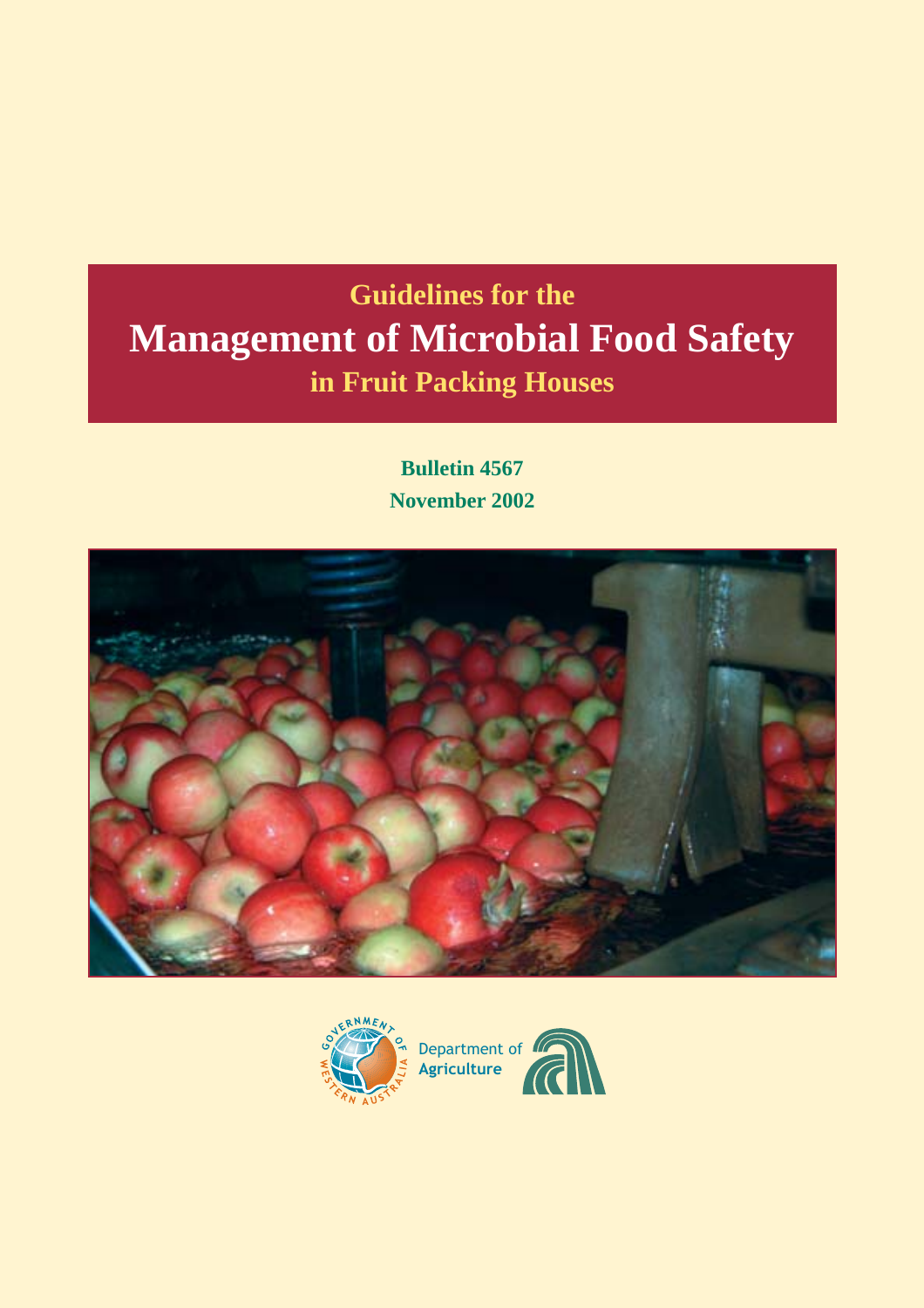# **Guidelines for the Management of Microbial Food Safety in Fruit Packing Houses**

**Bulletin 4567 November 2002**



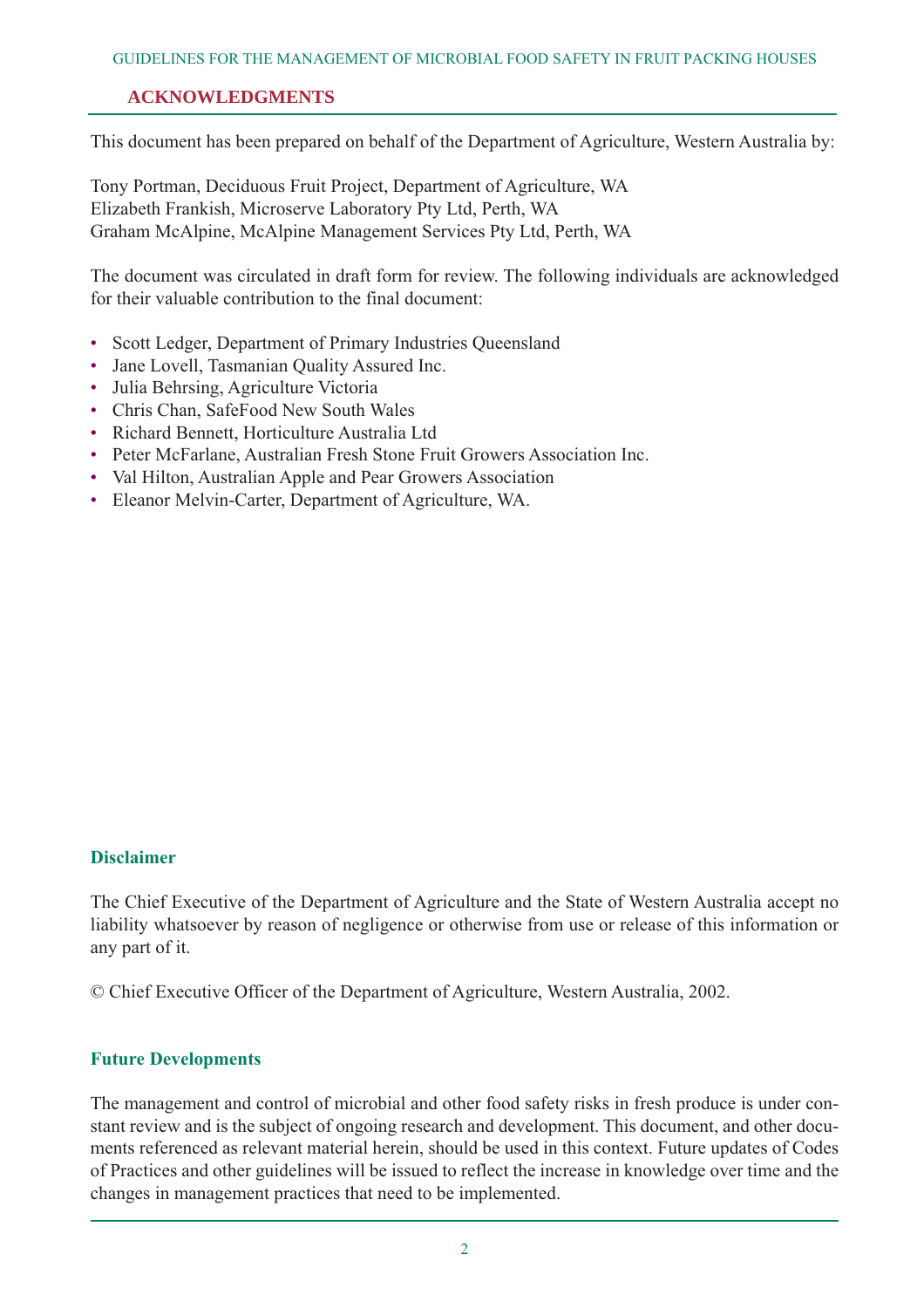# **ACKNOWLEDGMENTS**

This document has been prepared on behalf of the Department of Agriculture, Western Australia by:

Tony Portman, Deciduous Fruit Project, Department of Agriculture, WA Elizabeth Frankish, Microserve Laboratory Pty Ltd, Perth, WA Graham McAlpine, McAlpine Management Services Pty Ltd, Perth, WA

The document was circulated in draft form for review. The following individuals are acknowledged for their valuable contribution to the final document:

- Scott Ledger, Department of Primary Industries Oueensland
- Jane Lovell, Tasmanian Quality Assured Inc.
- Julia Behrsing, Agriculture Victoria
- Chris Chan, SafeFood New South Wales
- Richard Bennett, Horticulture Australia Ltd
- Peter McFarlane, Australian Fresh Stone Fruit Growers Association Inc.
- Val Hilton, Australian Apple and Pear Growers Association
- Eleanor Melvin-Carter, Department of Agriculture, WA.

#### **Disclaimer**

The Chief Executive of the Department of Agriculture and the State of Western Australia accept no liability whatsoever by reason of negligence or otherwise from use or release of this information or any part of it.

© Chief Executive Officer of the Department of Agriculture, Western Australia, 2002.

#### **Future Developments**

The management and control of microbial and other food safety risks in fresh produce is under constant review and is the subject of ongoing research and development. This document, and other documents referenced as relevant material herein, should be used in this context. Future updates of Codes of Practices and other guidelines will be issued to reflect the increase in knowledge over time and the changes in management practices that need to be implemented.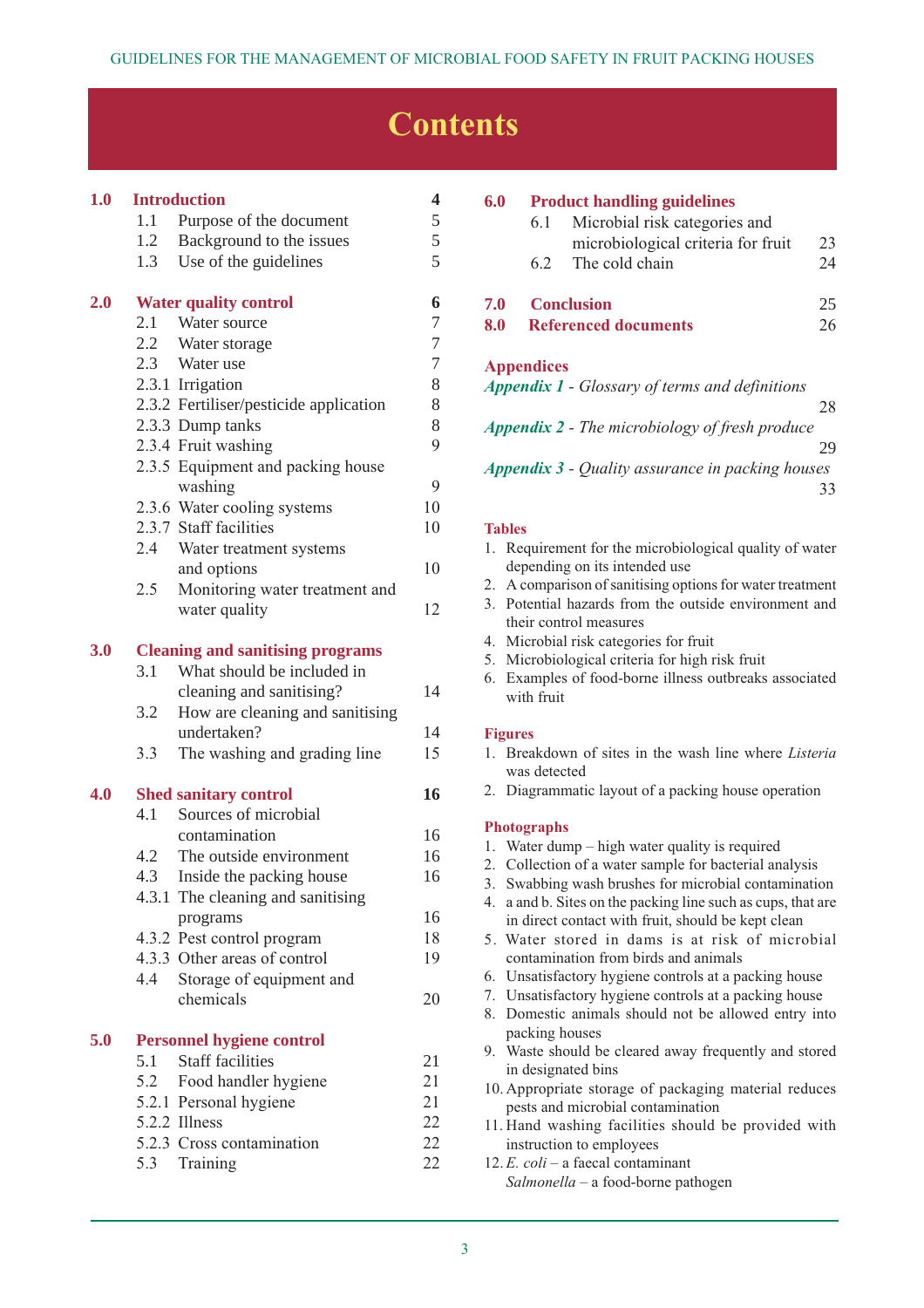# **Contents**

| 1.0 |     | <b>Introduction</b>                             | 4                        |
|-----|-----|-------------------------------------------------|--------------------------|
|     | 1.1 | Purpose of the document                         | 5                        |
|     | 1.2 | Background to the issues                        | 5                        |
|     | 1.3 | Use of the guidelines                           | 5                        |
| 2.0 |     | <b>Water quality control</b>                    | 6                        |
|     | 2.1 | Water source                                    | 7                        |
|     |     | 2.2 Water storage                               | $\overline{\mathcal{I}}$ |
|     |     | 2.3 Water use                                   | $\overline{7}$           |
|     |     | 2.3.1 Irrigation                                | 8                        |
|     |     | 2.3.2 Fertiliser/pesticide application          | 8                        |
|     |     | 2.3.3 Dump tanks                                | 8                        |
|     |     | 2.3.4 Fruit washing                             | 9                        |
|     |     | 2.3.5 Equipment and packing house               |                          |
|     |     | washing                                         | 9                        |
|     |     | 2.3.6 Water cooling systems                     | 10                       |
|     |     | 2.3.7 Staff facilities                          | 10                       |
|     |     | 2.4 Water treatment systems                     |                          |
|     |     | and options                                     | 10                       |
|     | 2.5 | Monitoring water treatment and<br>water quality | 12                       |
|     |     |                                                 |                          |
| 3.0 |     | <b>Cleaning and sanitising programs</b>         |                          |
|     | 3.1 | What should be included in                      |                          |
|     |     | cleaning and sanitising?                        | 14                       |
|     | 3.2 | How are cleaning and sanitising                 |                          |
|     |     | undertaken?                                     | 14                       |
|     | 3.3 | The washing and grading line                    | 15                       |
| 4.0 |     | <b>Shed sanitary control</b>                    | 16                       |
|     | 4.1 | Sources of microbial                            |                          |
|     |     | contamination                                   | 16                       |
|     | 4.2 | The outside environment                         | 16                       |
|     | 4.3 | Inside the packing house                        | 16                       |
|     |     | 4.3.1 The cleaning and sanitising               |                          |
|     |     | programs                                        | 16                       |
|     |     | 4.3.2 Pest control program                      | 18                       |
|     |     | 4.3.3 Other areas of control                    | 19                       |
|     | 4.4 | Storage of equipment and<br>chemicals           | 20                       |
|     |     |                                                 |                          |
| 5.0 |     | <b>Personnel hygiene control</b>                |                          |
|     | 5.1 | <b>Staff facilities</b>                         | 21                       |
|     | 5.2 | Food handler hygiene                            | 21                       |
|     |     | 5.2.1 Personal hygiene                          | 21                       |
|     |     | 5.2.2 Illness                                   | 22                       |
|     |     | 5.2.3 Cross contamination                       | 22                       |
|     |     | 5.3 Training                                    | 22                       |

| 6.0<br><b>Product handling guidelines</b>               |                   |                                                       |    |  |
|---------------------------------------------------------|-------------------|-------------------------------------------------------|----|--|
|                                                         | 6.1               | Microbial risk categories and                         |    |  |
|                                                         |                   | microbiological criteria for fruit                    | 23 |  |
|                                                         | 6.2               | The cold chain                                        | 24 |  |
| 7.0                                                     |                   | <b>Conclusion</b>                                     | 25 |  |
| 8.0                                                     |                   | <b>Referenced documents</b>                           | 26 |  |
|                                                         | <b>Appendices</b> |                                                       |    |  |
|                                                         |                   | <b>Appendix 1 - Glossary of terms and definitions</b> |    |  |
|                                                         |                   |                                                       | 28 |  |
|                                                         |                   | <b>Appendix 2 - The microbiology of fresh produce</b> |    |  |
|                                                         |                   |                                                       | 29 |  |
| <b>Appendix 3 - Quality assurance in packing houses</b> |                   |                                                       |    |  |
|                                                         |                   |                                                       | 33 |  |

#### **Tables**

| 1. Requirement for the microbiological quality of water |
|---------------------------------------------------------|
| depending on its intended use                           |

- 2. A comparison of sanitising options for water treatment
- 3. Potential hazards from the outside environment and their control measures
- 4. Microbial risk categories for fruit
- 5. Microbiological criteria for high risk fruit
- 6. Examples of food-borne illness outbreaks associated with fruit

#### **Figures**

- 1. Breakdown of sites in the wash line where *Listeria* was detected
- 2. Diagrammatic layout of a packing house operation

#### **Photographs**

- 1. Water dump high water quality is required
- 2. Collection of a water sample for bacterial analysis
- 3. Swabbing wash brushes for microbial contamination
- 4. a and b. Sites on the packing line such as cups, that are in direct contact with fruit, should be kept clean
- 5. Water stored in dams is at risk of microbial contamination from birds and animals
- 6. Unsatisfactory hygiene controls at a packing house
- 7. Unsatisfactory hygiene controls at a packing house
- 8. Domestic animals should not be allowed entry into packing houses
- 9. Waste should be cleared away frequently and stored in designated bins
- 10. Appropriate storage of packaging material reduces pests and microbial contamination
- 11. Hand washing facilities should be provided with instruction to employees
- 12. *E. coli* a faecal contaminant *Salmonella* – a food-borne pathogen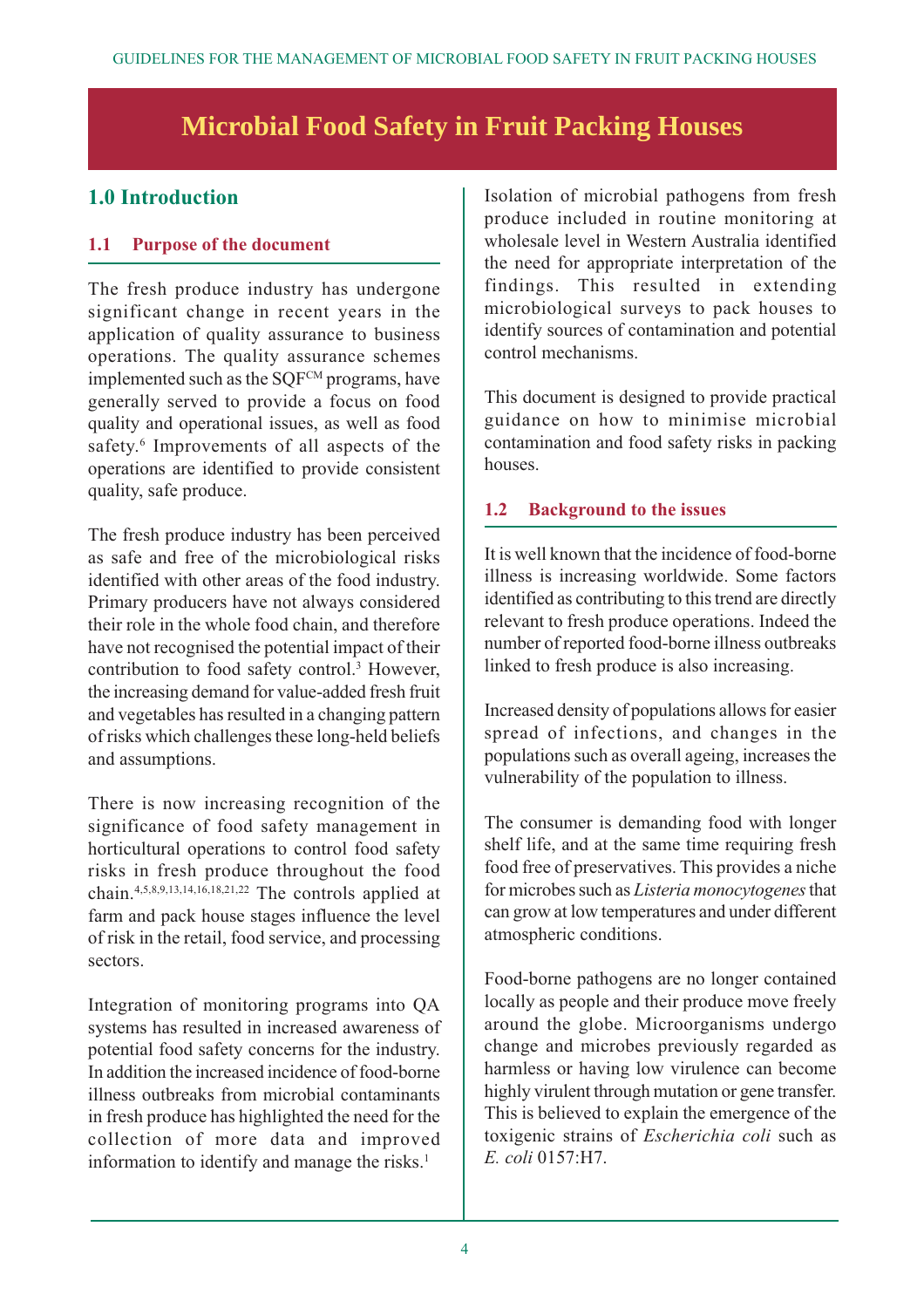# **Microbial Food Safety in Fruit Packing Houses**

# **1.0 Introduction**

# **1.1 Purpose of the document**

The fresh produce industry has undergone significant change in recent years in the application of quality assurance to business operations. The quality assurance schemes implemented such as the  $SOF<sup>CM</sup>$  programs, have generally served to provide a focus on food quality and operational issues, as well as food safety.<sup>6</sup> Improvements of all aspects of the operations are identified to provide consistent quality, safe produce.

The fresh produce industry has been perceived as safe and free of the microbiological risks identified with other areas of the food industry. Primary producers have not always considered their role in the whole food chain, and therefore have not recognised the potential impact of their contribution to food safety control.3 However, the increasing demand for value-added fresh fruit and vegetables has resulted in a changing pattern of risks which challenges these long-held beliefs and assumptions.

There is now increasing recognition of the significance of food safety management in horticultural operations to control food safety risks in fresh produce throughout the food chain.4,5,8,9,13,14,16,18,21,22 The controls applied at farm and pack house stages influence the level of risk in the retail, food service, and processing sectors.

Integration of monitoring programs into QA systems has resulted in increased awareness of potential food safety concerns for the industry. In addition the increased incidence of food-borne illness outbreaks from microbial contaminants in fresh produce has highlighted the need for the collection of more data and improved information to identify and manage the risks.<sup>1</sup>

Isolation of microbial pathogens from fresh produce included in routine monitoring at wholesale level in Western Australia identified the need for appropriate interpretation of the findings. This resulted in extending microbiological surveys to pack houses to identify sources of contamination and potential control mechanisms.

This document is designed to provide practical guidance on how to minimise microbial contamination and food safety risks in packing houses.

#### **1.2 Background to the issues**

It is well known that the incidence of food-borne illness is increasing worldwide. Some factors identified as contributing to this trend are directly relevant to fresh produce operations. Indeed the number of reported food-borne illness outbreaks linked to fresh produce is also increasing.

Increased density of populations allows for easier spread of infections, and changes in the populations such as overall ageing, increases the vulnerability of the population to illness.

The consumer is demanding food with longer shelf life, and at the same time requiring fresh food free of preservatives. This provides a niche for microbes such as *Listeria monocytogenes*that can grow at low temperatures and under different atmospheric conditions.

Food-borne pathogens are no longer contained locally as people and their produce move freely around the globe. Microorganisms undergo change and microbes previously regarded as harmless or having low virulence can become highly virulent through mutation or gene transfer. This is believed to explain the emergence of the toxigenic strains of *Escherichia coli* such as *E. coli* 0157:H7.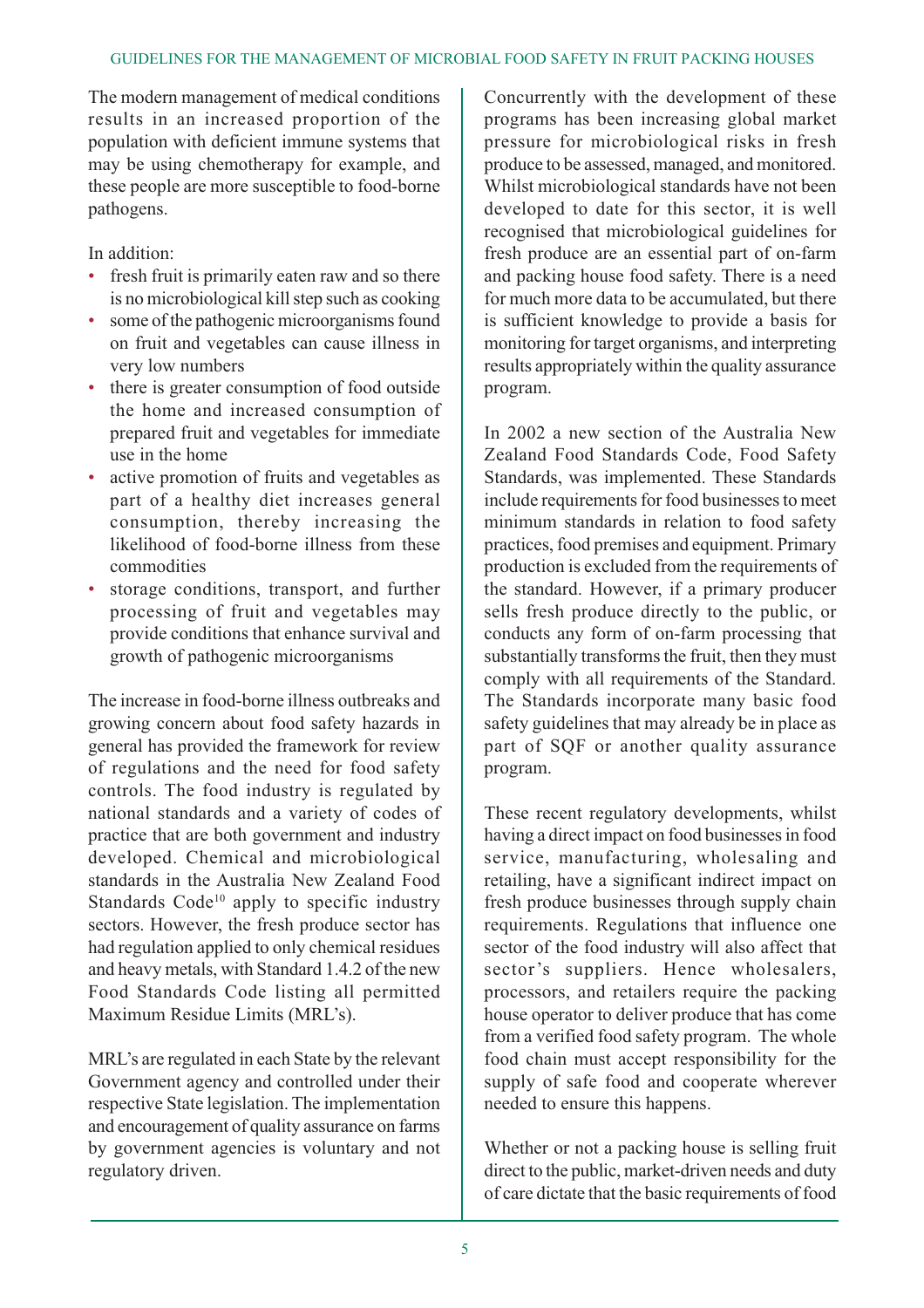The modern management of medical conditions results in an increased proportion of the population with deficient immune systems that may be using chemotherapy for example, and these people are more susceptible to food-borne pathogens.

In addition:

- fresh fruit is primarily eaten raw and so there is no microbiological kill step such as cooking
- some of the pathogenic microorganisms found on fruit and vegetables can cause illness in very low numbers
- there is greater consumption of food outside the home and increased consumption of prepared fruit and vegetables for immediate use in the home
- active promotion of fruits and vegetables as part of a healthy diet increases general consumption, thereby increasing the likelihood of food-borne illness from these commodities
- storage conditions, transport, and further processing of fruit and vegetables may provide conditions that enhance survival and growth of pathogenic microorganisms

The increase in food-borne illness outbreaks and growing concern about food safety hazards in general has provided the framework for review of regulations and the need for food safety controls. The food industry is regulated by national standards and a variety of codes of practice that are both government and industry developed. Chemical and microbiological standards in the Australia New Zealand Food Standards  $Code<sup>10</sup>$  apply to specific industry sectors. However, the fresh produce sector has had regulation applied to only chemical residues and heavy metals, with Standard 1.4.2 of the new Food Standards Code listing all permitted Maximum Residue Limits (MRL's).

MRL's are regulated in each State by the relevant Government agency and controlled under their respective State legislation. The implementation and encouragement of quality assurance on farms by government agencies is voluntary and not regulatory driven.

Concurrently with the development of these programs has been increasing global market pressure for microbiological risks in fresh produce to be assessed, managed, and monitored. Whilst microbiological standards have not been developed to date for this sector, it is well recognised that microbiological guidelines for fresh produce are an essential part of on-farm and packing house food safety. There is a need for much more data to be accumulated, but there is sufficient knowledge to provide a basis for monitoring for target organisms, and interpreting results appropriately within the quality assurance program.

In 2002 a new section of the Australia New Zealand Food Standards Code, Food Safety Standards, was implemented. These Standards include requirements for food businesses to meet minimum standards in relation to food safety practices, food premises and equipment. Primary production is excluded from the requirements of the standard. However, if a primary producer sells fresh produce directly to the public, or conducts any form of on-farm processing that substantially transforms the fruit, then they must comply with all requirements of the Standard. The Standards incorporate many basic food safety guidelines that may already be in place as part of SQF or another quality assurance program.

These recent regulatory developments, whilst having a direct impact on food businesses in food service, manufacturing, wholesaling and retailing, have a significant indirect impact on fresh produce businesses through supply chain requirements. Regulations that influence one sector of the food industry will also affect that sector's suppliers. Hence wholesalers, processors, and retailers require the packing house operator to deliver produce that has come from a verified food safety program. The whole food chain must accept responsibility for the supply of safe food and cooperate wherever needed to ensure this happens.

Whether or not a packing house is selling fruit direct to the public, market-driven needs and duty of care dictate that the basic requirements of food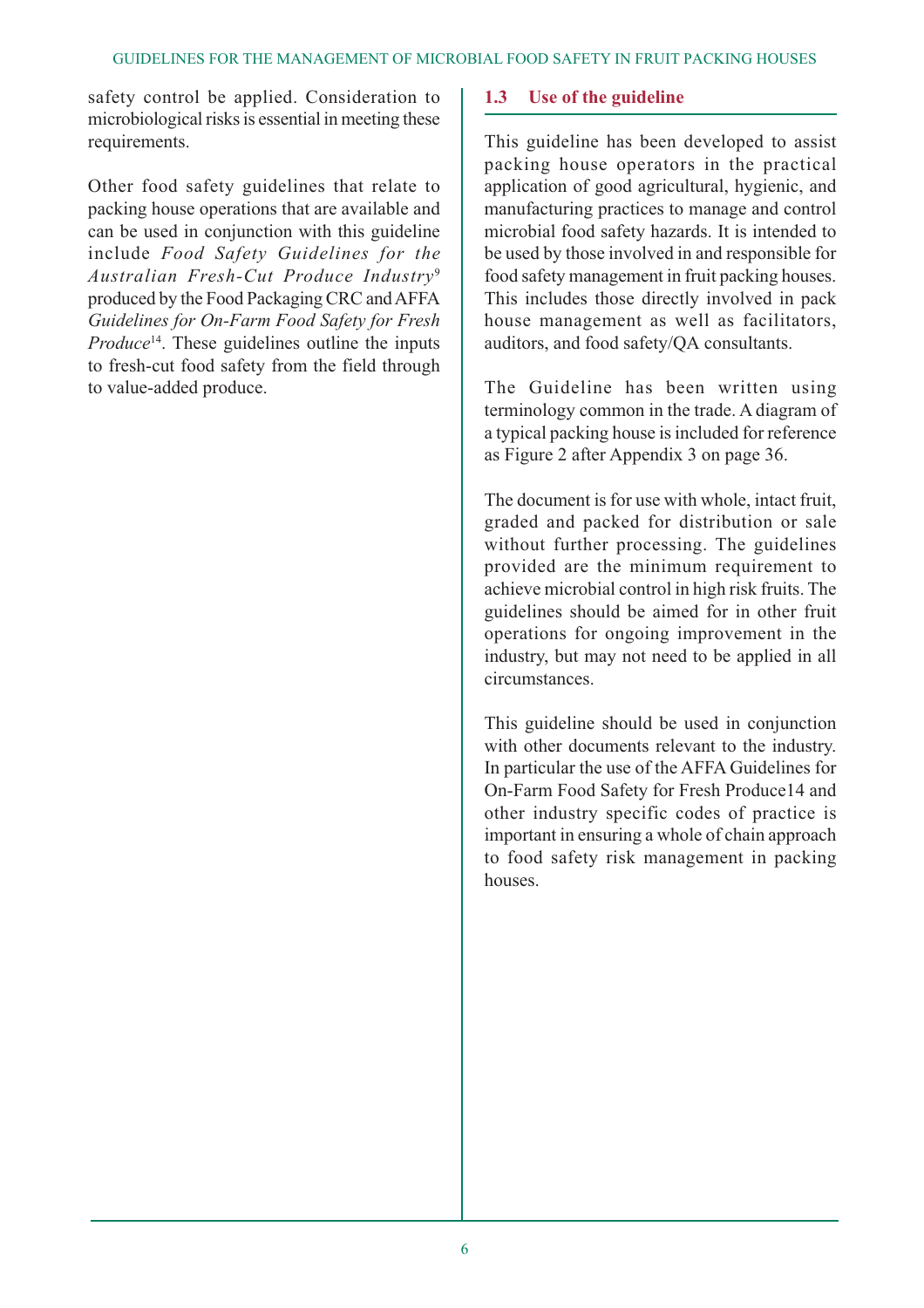safety control be applied. Consideration to microbiological risks is essential in meeting these requirements.

Other food safety guidelines that relate to packing house operations that are available and can be used in conjunction with this guideline include *Food Safety Guidelines for the Australian Fresh-Cut Produce Industry*<sup>9</sup> produced by the Food Packaging CRC and AFFA *Guidelines for On-Farm Food Safety for Fresh Produce*<sup>14</sup>. These guidelines outline the inputs to fresh-cut food safety from the field through to value-added produce.

# **1.3 Use of the guideline**

This guideline has been developed to assist packing house operators in the practical application of good agricultural, hygienic, and manufacturing practices to manage and control microbial food safety hazards. It is intended to be used by those involved in and responsible for food safety management in fruit packing houses. This includes those directly involved in pack house management as well as facilitators, auditors, and food safety/QA consultants.

The Guideline has been written using terminology common in the trade. A diagram of a typical packing house is included for reference as Figure 2 after Appendix 3 on page 36.

The document is for use with whole, intact fruit, graded and packed for distribution or sale without further processing. The guidelines provided are the minimum requirement to achieve microbial control in high risk fruits. The guidelines should be aimed for in other fruit operations for ongoing improvement in the industry, but may not need to be applied in all circumstances.

This guideline should be used in conjunction with other documents relevant to the industry. In particular the use of the AFFA Guidelines for On-Farm Food Safety for Fresh Produce14 and other industry specific codes of practice is important in ensuring a whole of chain approach to food safety risk management in packing houses.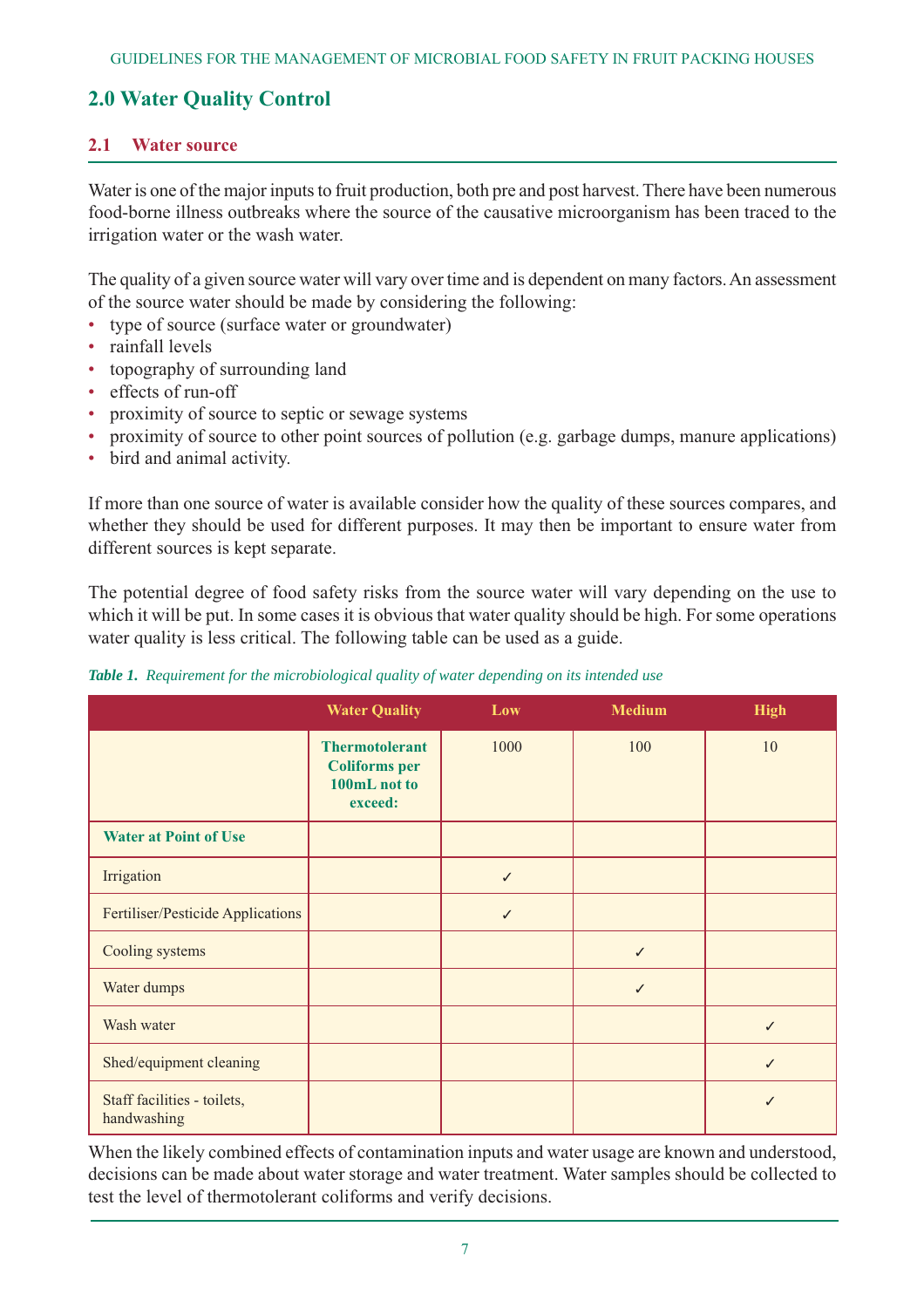# **2.0 Water Quality Control**

#### **2.1 Water source**

Water is one of the major inputs to fruit production, both pre and post harvest. There have been numerous food-borne illness outbreaks where the source of the causative microorganism has been traced to the irrigation water or the wash water.

The quality of a given source water will vary over time and is dependent on many factors. An assessment of the source water should be made by considering the following:

- type of source (surface water or groundwater)
- rainfall levels
- topography of surrounding land
- effects of run-off
- proximity of source to septic or sewage systems
- proximity of source to other point sources of pollution (e.g. garbage dumps, manure applications)
- bird and animal activity.

If more than one source of water is available consider how the quality of these sources compares, and whether they should be used for different purposes. It may then be important to ensure water from different sources is kept separate.

The potential degree of food safety risks from the source water will vary depending on the use to which it will be put. In some cases it is obvious that water quality should be high. For some operations water quality is less critical. The following table can be used as a guide.

|                                            | <b>Water Quality</b>                                                     | Low  | <b>Medium</b> | <b>High</b> |
|--------------------------------------------|--------------------------------------------------------------------------|------|---------------|-------------|
|                                            | <b>Thermotolerant</b><br><b>Coliforms</b> per<br>100mL not to<br>exceed: | 1000 | 100           | 10          |
| <b>Water at Point of Use</b>               |                                                                          |      |               |             |
| Irrigation                                 |                                                                          | ✓    |               |             |
| Fertiliser/Pesticide Applications          |                                                                          |      |               |             |
| Cooling systems                            |                                                                          |      |               |             |
| Water dumps                                |                                                                          |      | ✓             |             |
| Wash water                                 |                                                                          |      |               | ✓           |
| Shed/equipment cleaning                    |                                                                          |      |               |             |
| Staff facilities - toilets,<br>handwashing |                                                                          |      |               |             |

*Table 1. Requirement for the microbiological quality of water depending on its intended use*

When the likely combined effects of contamination inputs and water usage are known and understood, decisions can be made about water storage and water treatment. Water samples should be collected to test the level of thermotolerant coliforms and verify decisions.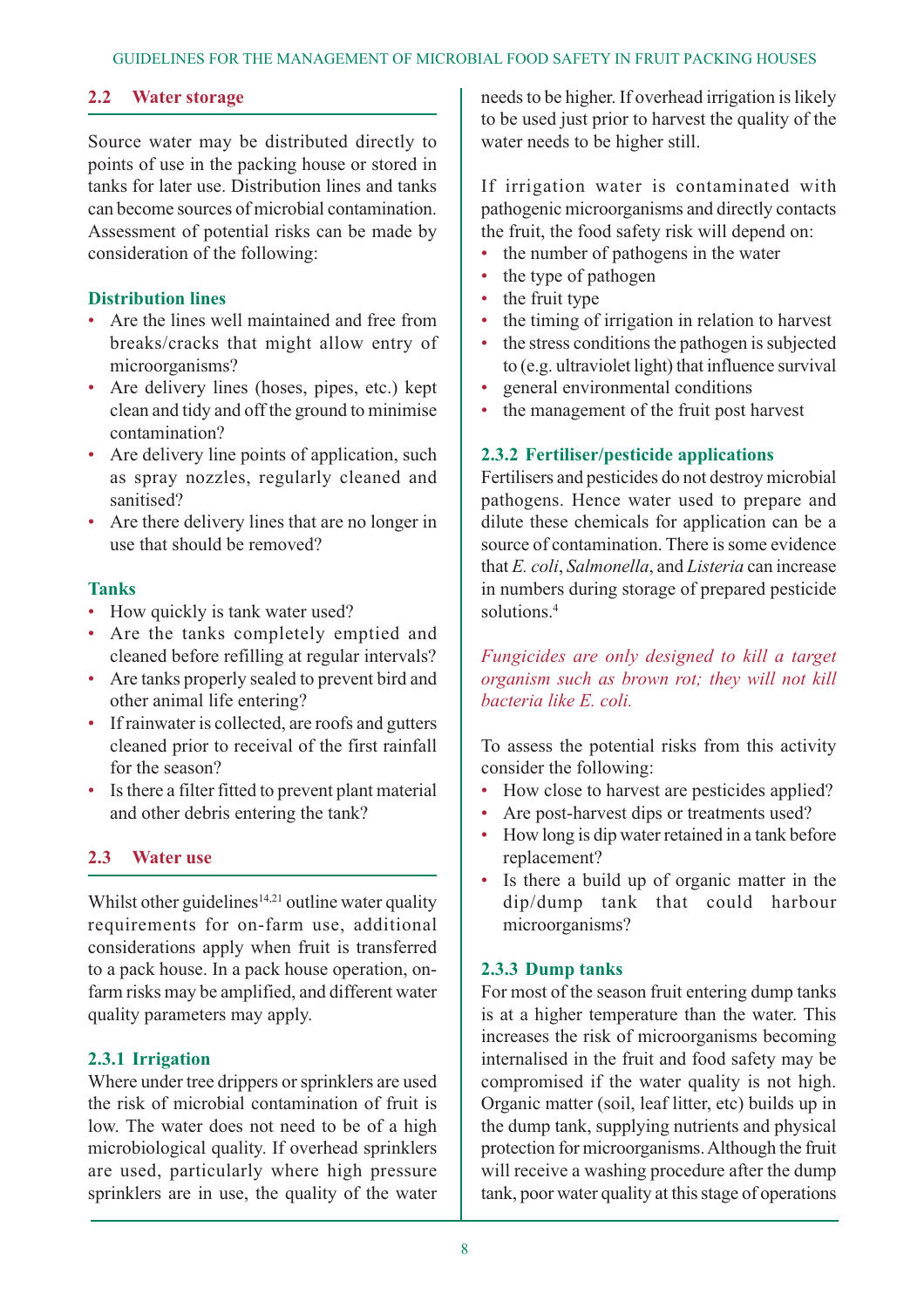# **2.2 Water storage**

Source water may be distributed directly to points of use in the packing house or stored in tanks for later use. Distribution lines and tanks can become sources of microbial contamination. Assessment of potential risks can be made by consideration of the following:

#### **Distribution lines**

- Are the lines well maintained and free from breaks/cracks that might allow entry of microorganisms?
- Are delivery lines (hoses, pipes, etc.) kept clean and tidy and off the ground to minimise contamination?
- Are delivery line points of application, such as spray nozzles, regularly cleaned and sanitised?
- Are there delivery lines that are no longer in use that should be removed?

#### **Tanks**

- How quickly is tank water used?
- Are the tanks completely emptied and cleaned before refilling at regular intervals?
- Are tanks properly sealed to prevent bird and other animal life entering?
- If rainwater is collected, are roofs and gutters cleaned prior to receival of the first rainfall for the season?
- Is there a filter fitted to prevent plant material and other debris entering the tank?

#### **2.3 Water use**

Whilst other guidelines<sup>14,21</sup> outline water quality requirements for on-farm use, additional considerations apply when fruit is transferred to a pack house. In a pack house operation, onfarm risks may be amplified, and different water quality parameters may apply.

#### **2.3.1 Irrigation**

Where under tree drippers or sprinklers are used the risk of microbial contamination of fruit is low. The water does not need to be of a high microbiological quality. If overhead sprinklers are used, particularly where high pressure sprinklers are in use, the quality of the water needs to be higher. If overhead irrigation is likely to be used just prior to harvest the quality of the water needs to be higher still.

If irrigation water is contaminated with pathogenic microorganisms and directly contacts the fruit, the food safety risk will depend on:

- the number of pathogens in the water
- the type of pathogen
- the fruit type
- the timing of irrigation in relation to harvest
- the stress conditions the pathogen is subjected to (e.g. ultraviolet light) that influence survival
- general environmental conditions
- the management of the fruit post harvest

#### **2.3.2 Fertiliser/pesticide applications**

Fertilisers and pesticides do not destroy microbial pathogens. Hence water used to prepare and dilute these chemicals for application can be a source of contamination. There is some evidence that *E. coli*, *Salmonella*, and *Listeria* can increase in numbers during storage of prepared pesticide solutions.<sup>4</sup>

*Fungicides are only designed to kill a target organism such as brown rot; they will not kill bacteria like E. coli.*

To assess the potential risks from this activity consider the following:

- How close to harvest are pesticides applied?
- Are post-harvest dips or treatments used?
- How long is dip water retained in a tank before replacement?
- Is there a build up of organic matter in the dip/dump tank that could harbour microorganisms?

#### **2.3.3 Dump tanks**

For most of the season fruit entering dump tanks is at a higher temperature than the water. This increases the risk of microorganisms becoming internalised in the fruit and food safety may be compromised if the water quality is not high. Organic matter (soil, leaf litter, etc) builds up in the dump tank, supplying nutrients and physical protection for microorganisms. Although the fruit will receive a washing procedure after the dump tank, poor water quality at this stage of operations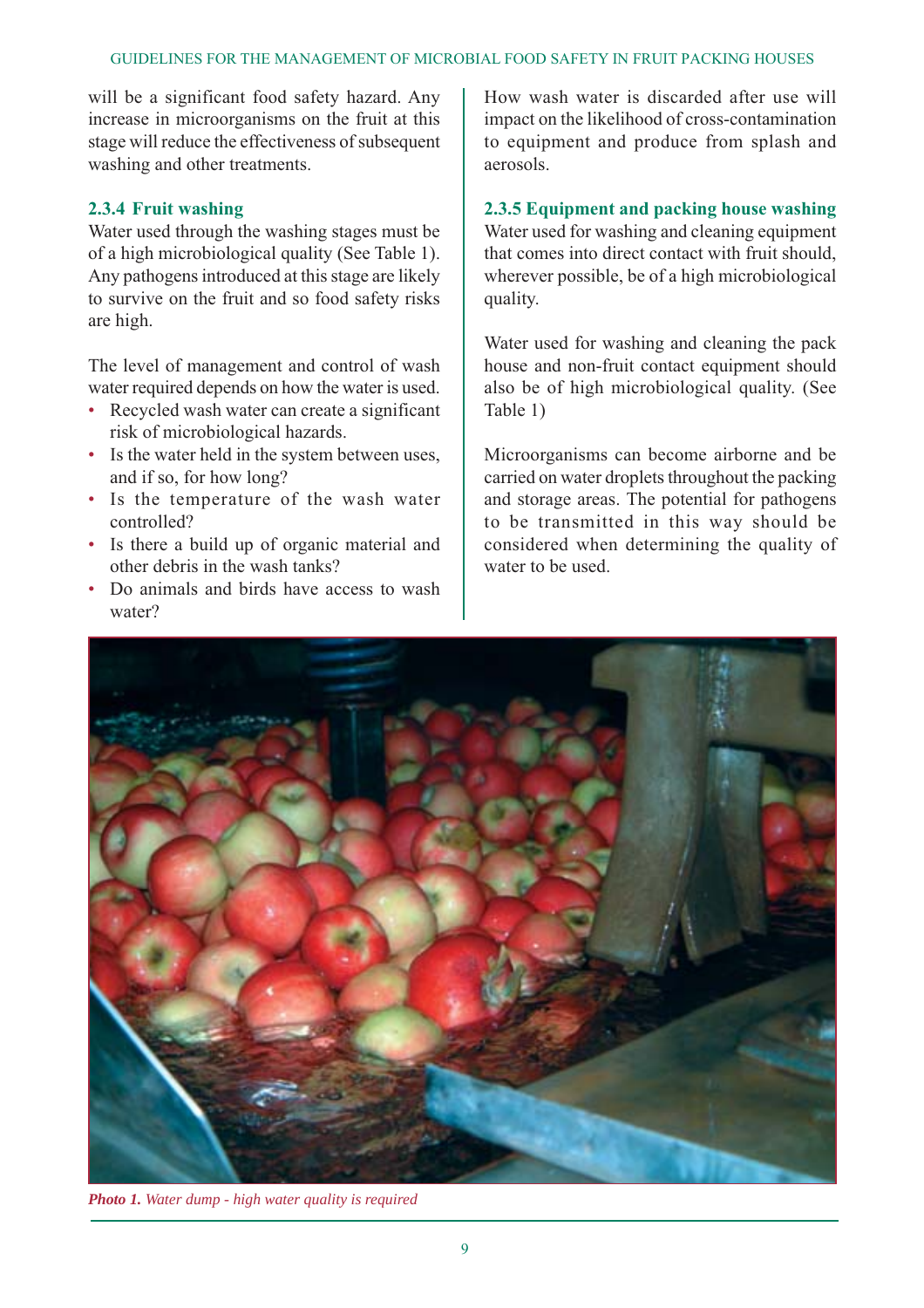#### GUIDELINES FOR THE MANAGEMENT OF MICROBIAL FOOD SAFETY IN FRUIT PACKING HOUSES

will be a significant food safety hazard. Any increase in microorganisms on the fruit at this stage will reduce the effectiveness of subsequent washing and other treatments.

#### **2.3.4 Fruit washing**

Water used through the washing stages must be of a high microbiological quality (See Table 1). Any pathogens introduced at this stage are likely to survive on the fruit and so food safety risks are high.

The level of management and control of wash water required depends on how the water is used.

- Recycled wash water can create a significant risk of microbiological hazards.
- Is the water held in the system between uses, and if so, for how long?
- Is the temperature of the wash water controlled?
- Is there a build up of organic material and other debris in the wash tanks?
- Do animals and birds have access to wash water?

How wash water is discarded after use will impact on the likelihood of cross-contamination to equipment and produce from splash and aerosols.

#### **2.3.5 Equipment and packing house washing**

Water used for washing and cleaning equipment that comes into direct contact with fruit should, wherever possible, be of a high microbiological quality.

Water used for washing and cleaning the pack house and non-fruit contact equipment should also be of high microbiological quality. (See Table 1)

Microorganisms can become airborne and be carried on water droplets throughout the packing and storage areas. The potential for pathogens to be transmitted in this way should be considered when determining the quality of water to be used.



*Photo 1. Water dump - high water quality is required*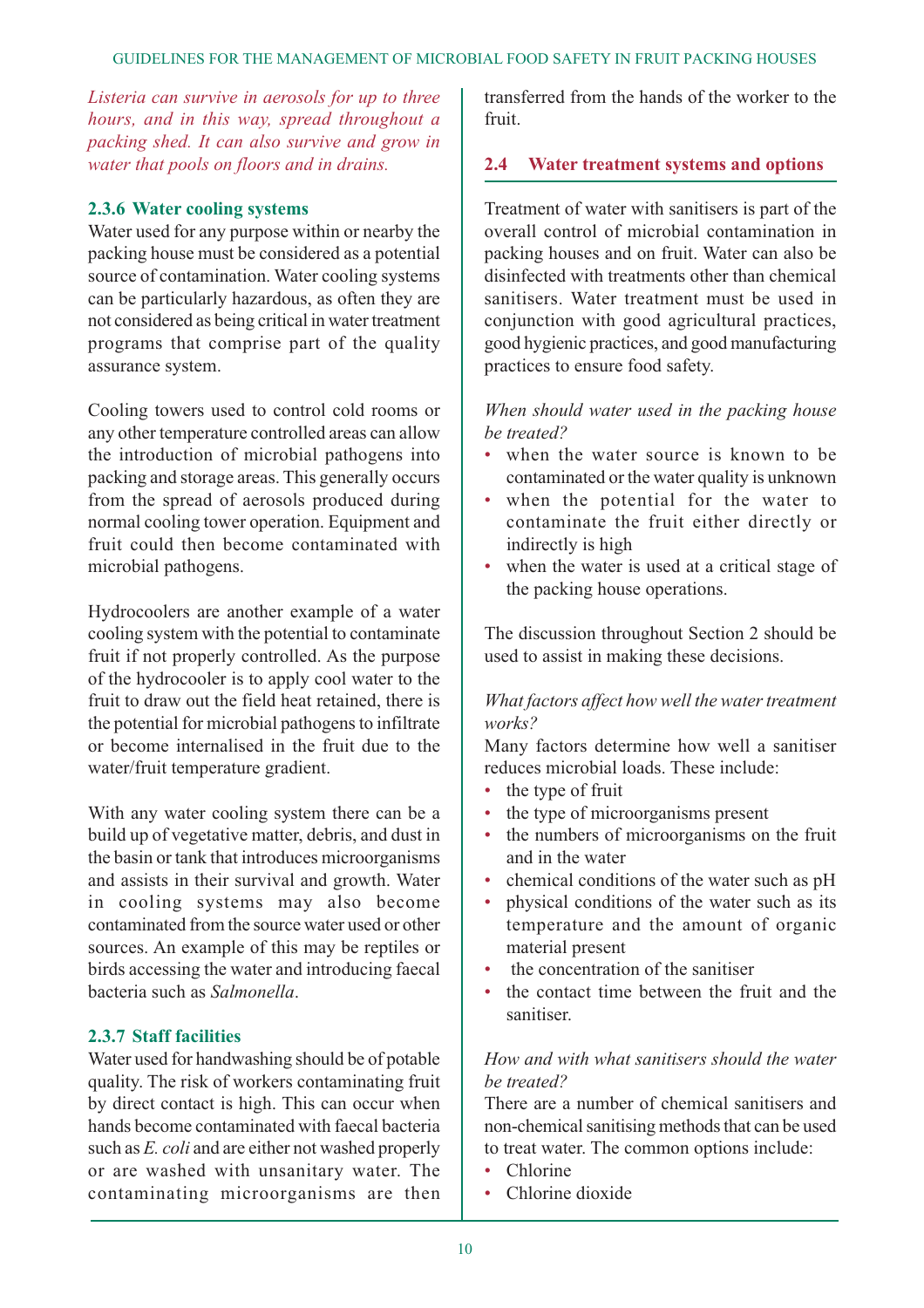*Listeria can survive in aerosols for up to three hours, and in this way, spread throughout a packing shed. It can also survive and grow in water that pools on floors and in drains.*

#### **2.3.6 Water cooling systems**

Water used for any purpose within or nearby the packing house must be considered as a potential source of contamination. Water cooling systems can be particularly hazardous, as often they are not considered as being critical in water treatment programs that comprise part of the quality assurance system.

Cooling towers used to control cold rooms or any other temperature controlled areas can allow the introduction of microbial pathogens into packing and storage areas. This generally occurs from the spread of aerosols produced during normal cooling tower operation. Equipment and fruit could then become contaminated with microbial pathogens.

Hydrocoolers are another example of a water cooling system with the potential to contaminate fruit if not properly controlled. As the purpose of the hydrocooler is to apply cool water to the fruit to draw out the field heat retained, there is the potential for microbial pathogens to infiltrate or become internalised in the fruit due to the water/fruit temperature gradient.

With any water cooling system there can be a build up of vegetative matter, debris, and dust in the basin or tank that introduces microorganisms and assists in their survival and growth. Water in cooling systems may also become contaminated from the source water used or other sources. An example of this may be reptiles or birds accessing the water and introducing faecal bacteria such as *Salmonella*.

#### **2.3.7 Staff facilities**

Water used for handwashing should be of potable quality. The risk of workers contaminating fruit by direct contact is high. This can occur when hands become contaminated with faecal bacteria such as *E. coli* and are either not washed properly or are washed with unsanitary water. The contaminating microorganisms are then

transferred from the hands of the worker to the fruit.

#### **2.4 Water treatment systems and options**

Treatment of water with sanitisers is part of the overall control of microbial contamination in packing houses and on fruit. Water can also be disinfected with treatments other than chemical sanitisers. Water treatment must be used in conjunction with good agricultural practices, good hygienic practices, and good manufacturing practices to ensure food safety.

#### *When should water used in the packing house be treated?*

- when the water source is known to be contaminated or the water quality is unknown
- when the potential for the water to contaminate the fruit either directly or indirectly is high
- when the water is used at a critical stage of the packing house operations.

The discussion throughout Section 2 should be used to assist in making these decisions.

#### *What factors affect how well the water treatment works?*

Many factors determine how well a sanitiser reduces microbial loads. These include:

- the type of fruit
- the type of microorganisms present
- the numbers of microorganisms on the fruit and in the water
- chemical conditions of the water such as pH
- physical conditions of the water such as its temperature and the amount of organic material present
- the concentration of the sanitiser
- the contact time between the fruit and the sanitiser.

# *How and with what sanitisers should the water be treated?*

There are a number of chemical sanitisers and non-chemical sanitising methods that can be used to treat water. The common options include:

- Chlorine
- Chlorine dioxide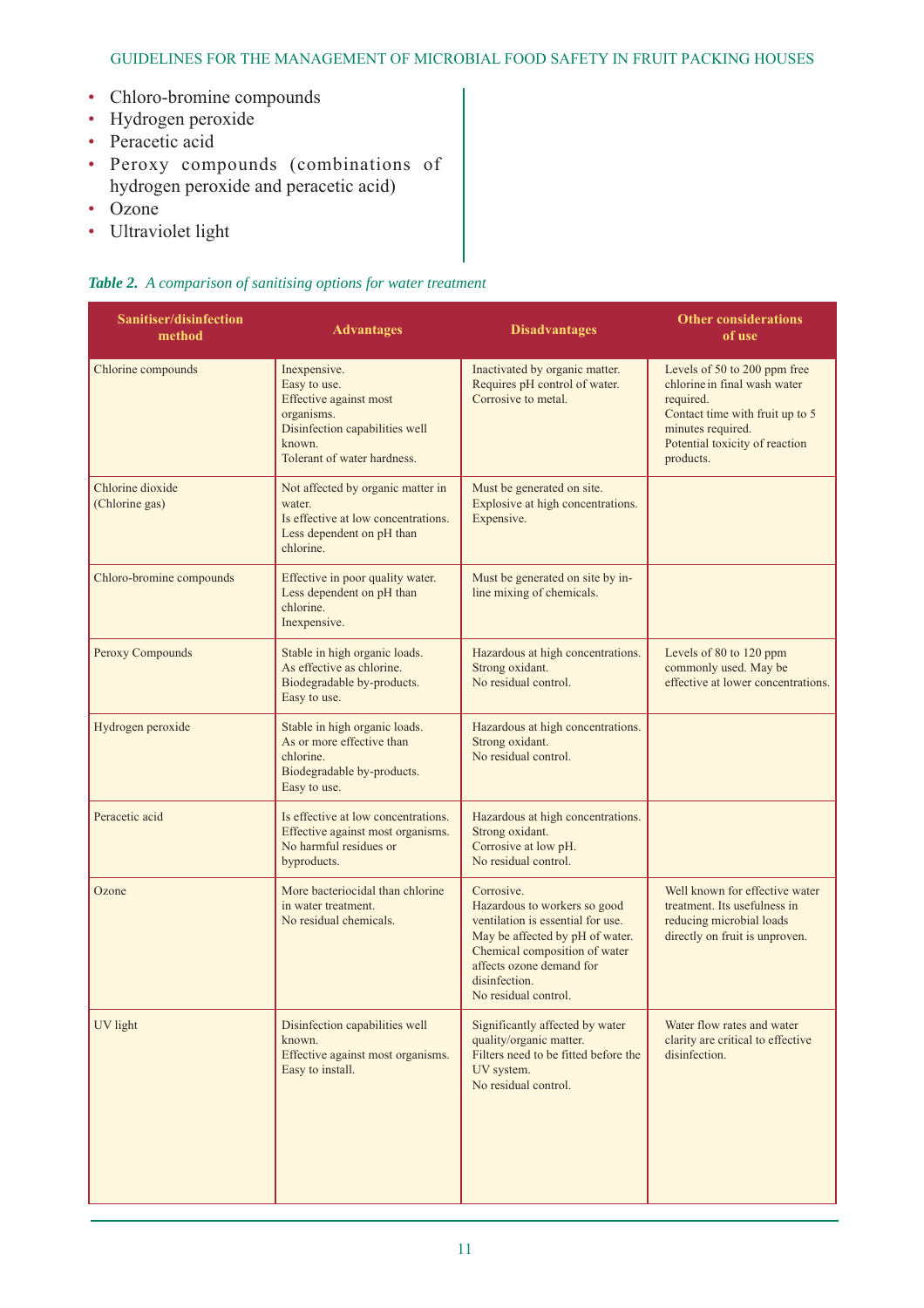#### GUIDELINES FOR THE MANAGEMENT OF MICROBIAL FOOD SAFETY IN FRUIT PACKING HOUSES

- Chloro-bromine compounds
- Hydrogen peroxide
- Peracetic acid
- Peroxy compounds (combinations of hydrogen peroxide and peracetic acid)
- Ozone
- Ultraviolet light

#### *Table 2. A comparison of sanitising options for water treatment*

| Sanitiser/disinfection<br><b>Advantages</b><br>method                                                                                                              |                                                                                                                                                                                                                                           | <b>Disadvantages</b>                                                                                                                                                                                                     | <b>Other considerations</b><br>of use                                                                                                                                            |
|--------------------------------------------------------------------------------------------------------------------------------------------------------------------|-------------------------------------------------------------------------------------------------------------------------------------------------------------------------------------------------------------------------------------------|--------------------------------------------------------------------------------------------------------------------------------------------------------------------------------------------------------------------------|----------------------------------------------------------------------------------------------------------------------------------------------------------------------------------|
| Chlorine compounds                                                                                                                                                 | Inexpensive.<br>Inactivated by organic matter.<br>Requires pH control of water.<br>Easy to use.<br>Effective against most<br>Corrosive to metal.<br>organisms.<br>Disinfection capabilities well<br>known.<br>Tolerant of water hardness. |                                                                                                                                                                                                                          | Levels of 50 to 200 ppm free<br>chlorine in final wash water<br>required.<br>Contact time with fruit up to 5<br>minutes required.<br>Potential toxicity of reaction<br>products. |
| Chlorine dioxide<br>Not affected by organic matter in<br>(Chlorine gas)<br>water.<br>Is effective at low concentrations.<br>Less dependent on pH than<br>chlorine. |                                                                                                                                                                                                                                           | Must be generated on site.<br>Explosive at high concentrations.<br>Expensive.                                                                                                                                            |                                                                                                                                                                                  |
| Chloro-bromine compounds                                                                                                                                           | Effective in poor quality water.<br>Less dependent on pH than<br>chlorine.<br>Inexpensive.                                                                                                                                                | Must be generated on site by in-<br>line mixing of chemicals.                                                                                                                                                            |                                                                                                                                                                                  |
| Peroxy Compounds                                                                                                                                                   | Stable in high organic loads.<br>As effective as chlorine.<br>Biodegradable by-products.<br>Easy to use.                                                                                                                                  | Hazardous at high concentrations.<br>Strong oxidant.<br>No residual control.                                                                                                                                             | Levels of 80 to 120 ppm<br>commonly used. May be<br>effective at lower concentrations.                                                                                           |
| Hydrogen peroxide                                                                                                                                                  | Stable in high organic loads.<br>As or more effective than<br>chlorine.<br>Biodegradable by-products.<br>Easy to use.                                                                                                                     | Hazardous at high concentrations.<br>Strong oxidant.<br>No residual control.                                                                                                                                             |                                                                                                                                                                                  |
| Peracetic acid                                                                                                                                                     | Is effective at low concentrations.<br>Effective against most organisms.<br>No harmful residues or<br>byproducts.                                                                                                                         | Hazardous at high concentrations.<br>Strong oxidant.<br>Corrosive at low pH.<br>No residual control.                                                                                                                     |                                                                                                                                                                                  |
| Ozone                                                                                                                                                              | More bacteriocidal than chlorine<br>in water treatment.<br>No residual chemicals.                                                                                                                                                         | Corrosive.<br>Hazardous to workers so good<br>ventilation is essential for use.<br>May be affected by pH of water.<br>Chemical composition of water<br>affects ozone demand for<br>disinfection.<br>No residual control. | Well known for effective water<br>treatment. Its usefulness in<br>reducing microbial loads<br>directly on fruit is unproven.                                                     |
| UV light                                                                                                                                                           | Disinfection capabilities well<br>known.<br>Effective against most organisms.<br>Easy to install.                                                                                                                                         | Significantly affected by water<br>quality/organic matter.<br>Filters need to be fitted before the<br>UV system.<br>No residual control.                                                                                 | Water flow rates and water<br>clarity are critical to effective<br>disinfection.                                                                                                 |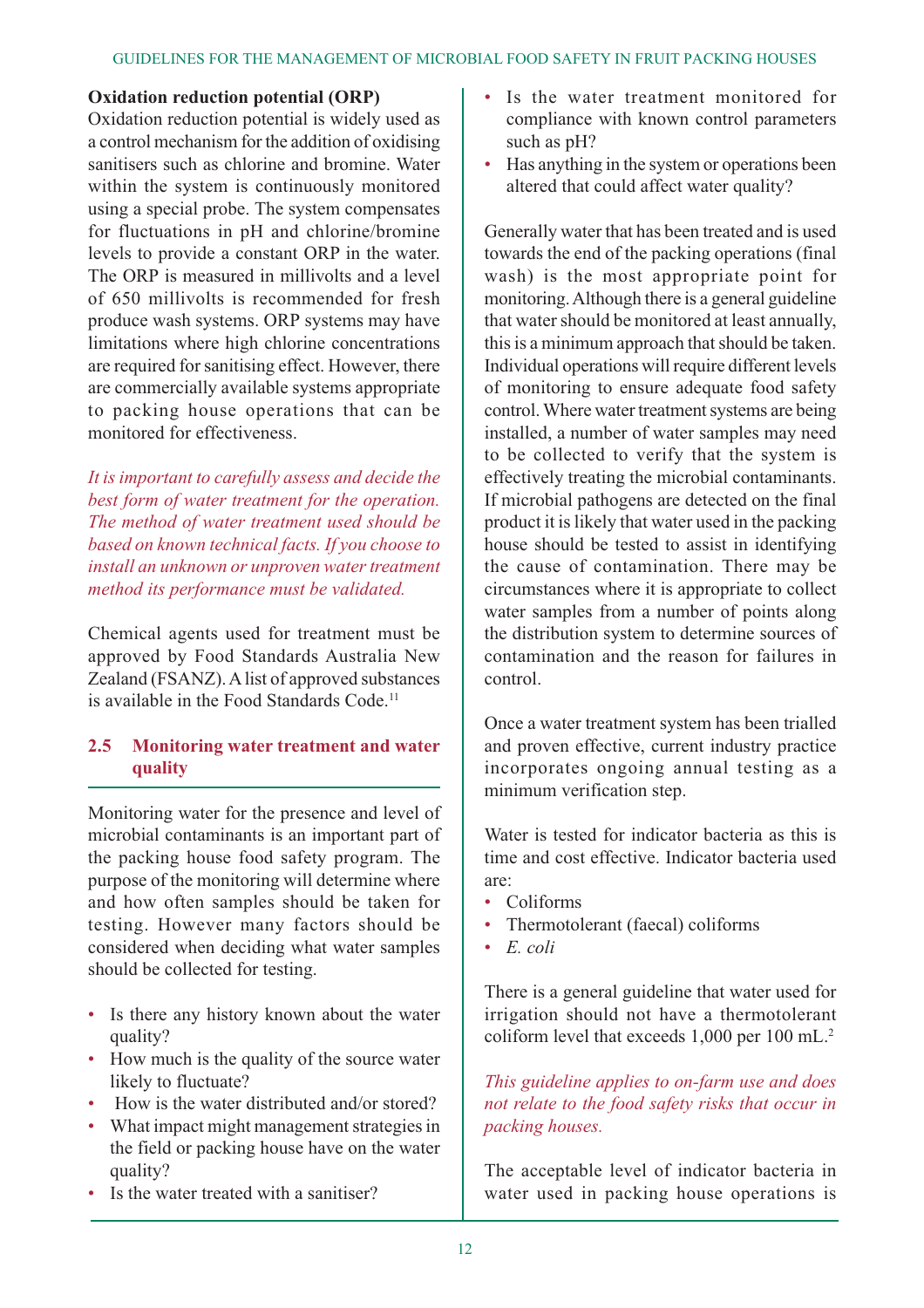#### **Oxidation reduction potential (ORP)**

Oxidation reduction potential is widely used as a control mechanism for the addition of oxidising sanitisers such as chlorine and bromine. Water within the system is continuously monitored using a special probe. The system compensates for fluctuations in pH and chlorine/bromine levels to provide a constant ORP in the water. The ORP is measured in millivolts and a level of 650 millivolts is recommended for fresh produce wash systems. ORP systems may have limitations where high chlorine concentrations are required for sanitising effect. However, there are commercially available systems appropriate to packing house operations that can be monitored for effectiveness.

*It is important to carefully assess and decide the best form of water treatment for the operation. The method of water treatment used should be based on known technical facts. If you choose to install an unknown or unproven water treatment method its performance must be validated.*

Chemical agents used for treatment must be approved by Food Standards Australia New Zealand (FSANZ). A list of approved substances is available in the Food Standards Code.<sup>11</sup>

# **2.5 Monitoring water treatment and water quality**

Monitoring water for the presence and level of microbial contaminants is an important part of the packing house food safety program. The purpose of the monitoring will determine where and how often samples should be taken for testing. However many factors should be considered when deciding what water samples should be collected for testing.

- Is there any history known about the water quality?
- How much is the quality of the source water likely to fluctuate?
- How is the water distributed and/or stored?
- What impact might management strategies in the field or packing house have on the water quality?
- Is the water treated with a sanitiser?
- Is the water treatment monitored for compliance with known control parameters such as pH?
- Has anything in the system or operations been altered that could affect water quality?

Generally water that has been treated and is used towards the end of the packing operations (final wash) is the most appropriate point for monitoring. Although there is a general guideline that water should be monitored at least annually, this is a minimum approach that should be taken. Individual operations will require different levels of monitoring to ensure adequate food safety control. Where water treatment systems are being installed, a number of water samples may need to be collected to verify that the system is effectively treating the microbial contaminants. If microbial pathogens are detected on the final product it is likely that water used in the packing house should be tested to assist in identifying the cause of contamination. There may be circumstances where it is appropriate to collect water samples from a number of points along the distribution system to determine sources of contamination and the reason for failures in control.

Once a water treatment system has been trialled and proven effective, current industry practice incorporates ongoing annual testing as a minimum verification step.

Water is tested for indicator bacteria as this is time and cost effective. Indicator bacteria used are:

- Coliforms
- Thermotolerant (faecal) coliforms
- *E. coli*

There is a general guideline that water used for irrigation should not have a thermotolerant coliform level that exceeds 1,000 per 100 mL.2

*This guideline applies to on-farm use and does not relate to the food safety risks that occur in packing houses.*

The acceptable level of indicator bacteria in water used in packing house operations is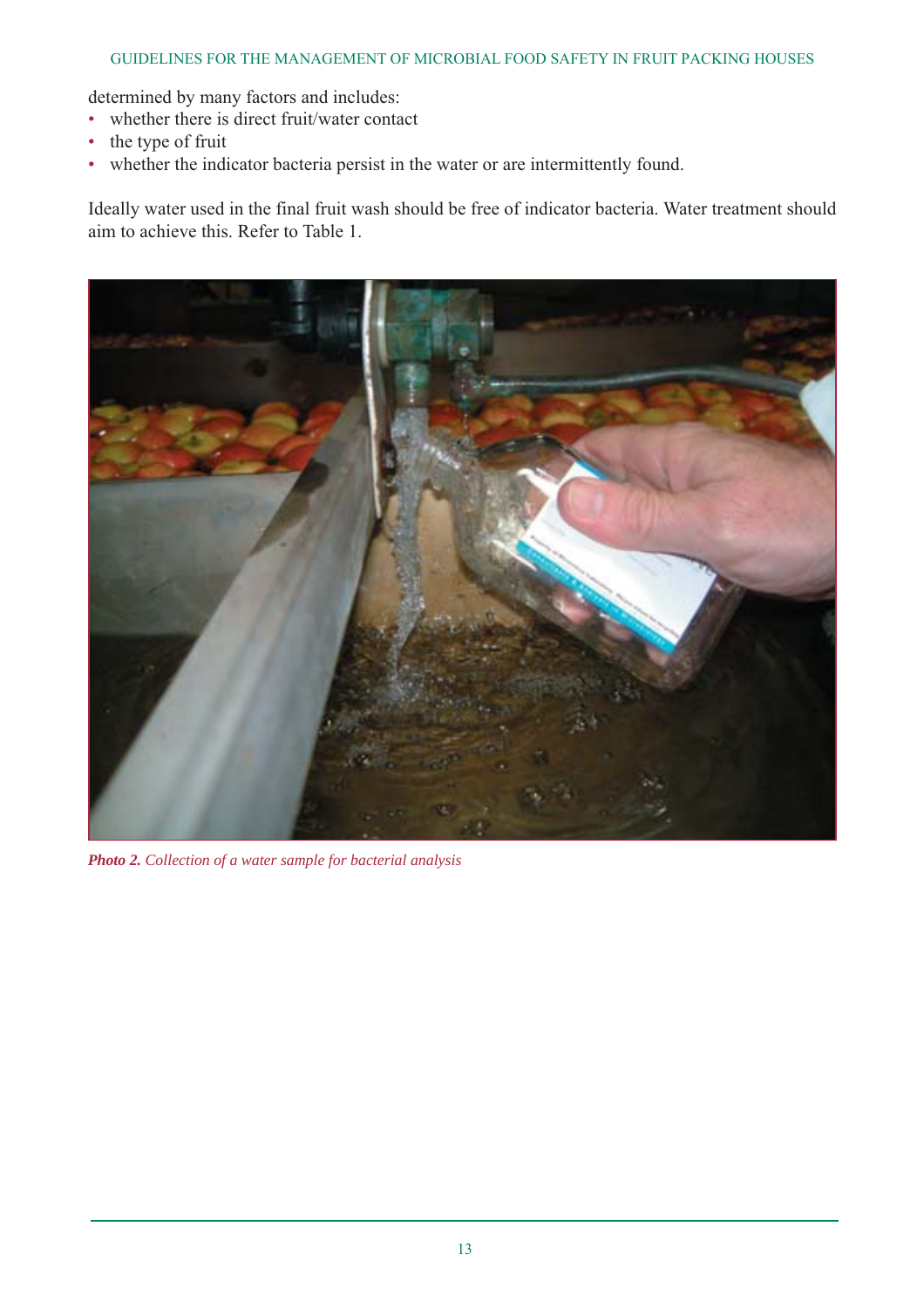#### GUIDELINES FOR THE MANAGEMENT OF MICROBIAL FOOD SAFETY IN FRUIT PACKING HOUSES

determined by many factors and includes:

- whether there is direct fruit/water contact
- the type of fruit
- whether the indicator bacteria persist in the water or are intermittently found.

Ideally water used in the final fruit wash should be free of indicator bacteria. Water treatment should aim to achieve this. Refer to Table 1.



*Photo 2. Collection of a water sample for bacterial analysis*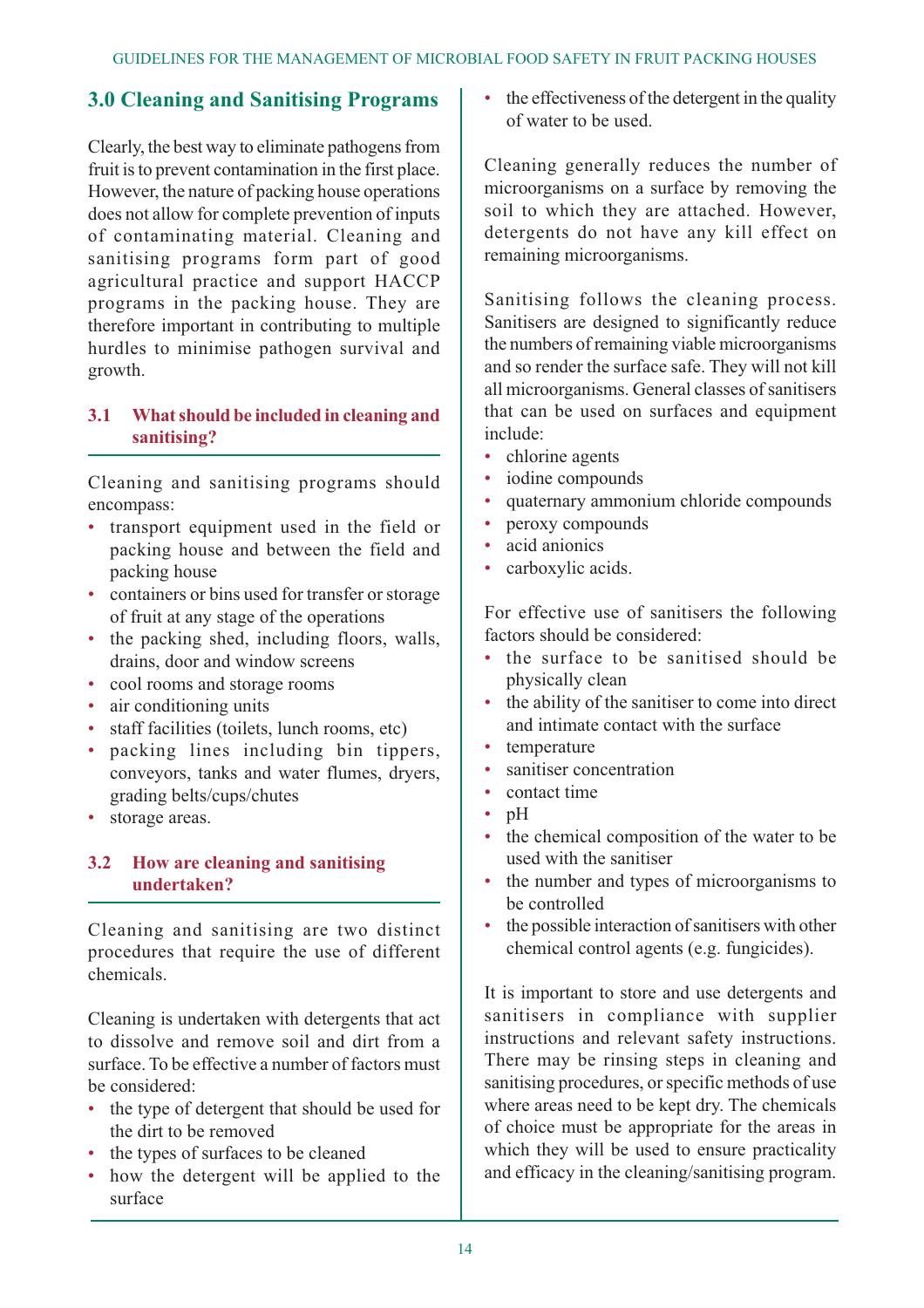# **3.0 Cleaning and Sanitising Programs**

Clearly, the best way to eliminate pathogens from fruit is to prevent contamination in the first place. However, the nature of packing house operations does not allow for complete prevention of inputs of contaminating material. Cleaning and sanitising programs form part of good agricultural practice and support HACCP programs in the packing house. They are therefore important in contributing to multiple hurdles to minimise pathogen survival and growth.

#### **3.1 What should be included in cleaning and sanitising?**

Cleaning and sanitising programs should encompass:

- transport equipment used in the field or packing house and between the field and packing house
- containers or bins used for transfer or storage of fruit at any stage of the operations
- the packing shed, including floors, walls, drains, door and window screens
- cool rooms and storage rooms
- air conditioning units
- staff facilities (toilets, lunch rooms, etc)
- packing lines including bin tippers, conveyors, tanks and water flumes, dryers, grading belts/cups/chutes
- storage areas.

# **3.2 How are cleaning and sanitising undertaken?**

Cleaning and sanitising are two distinct procedures that require the use of different chemicals.

Cleaning is undertaken with detergents that act to dissolve and remove soil and dirt from a surface. To be effective a number of factors must be considered:

- the type of detergent that should be used for the dirt to be removed
- the types of surfaces to be cleaned
- how the detergent will be applied to the surface

• the effectiveness of the detergent in the quality of water to be used.

Cleaning generally reduces the number of microorganisms on a surface by removing the soil to which they are attached. However, detergents do not have any kill effect on remaining microorganisms.

Sanitising follows the cleaning process. Sanitisers are designed to significantly reduce the numbers of remaining viable microorganisms and so render the surface safe. They will not kill all microorganisms. General classes of sanitisers that can be used on surfaces and equipment include:

- chlorine agents
- iodine compounds
- quaternary ammonium chloride compounds
- peroxy compounds
- acid anionics
- carboxylic acids.

For effective use of sanitisers the following factors should be considered:

- the surface to be sanitised should be physically clean
- the ability of the sanitiser to come into direct and intimate contact with the surface
- temperature
- sanitiser concentration
- contact time
- pH
- the chemical composition of the water to be used with the sanitiser
- the number and types of microorganisms to be controlled
- the possible interaction of sanitisers with other chemical control agents (e.g. fungicides).

It is important to store and use detergents and sanitisers in compliance with supplier instructions and relevant safety instructions. There may be rinsing steps in cleaning and sanitising procedures, or specific methods of use where areas need to be kept dry. The chemicals of choice must be appropriate for the areas in which they will be used to ensure practicality and efficacy in the cleaning/sanitising program.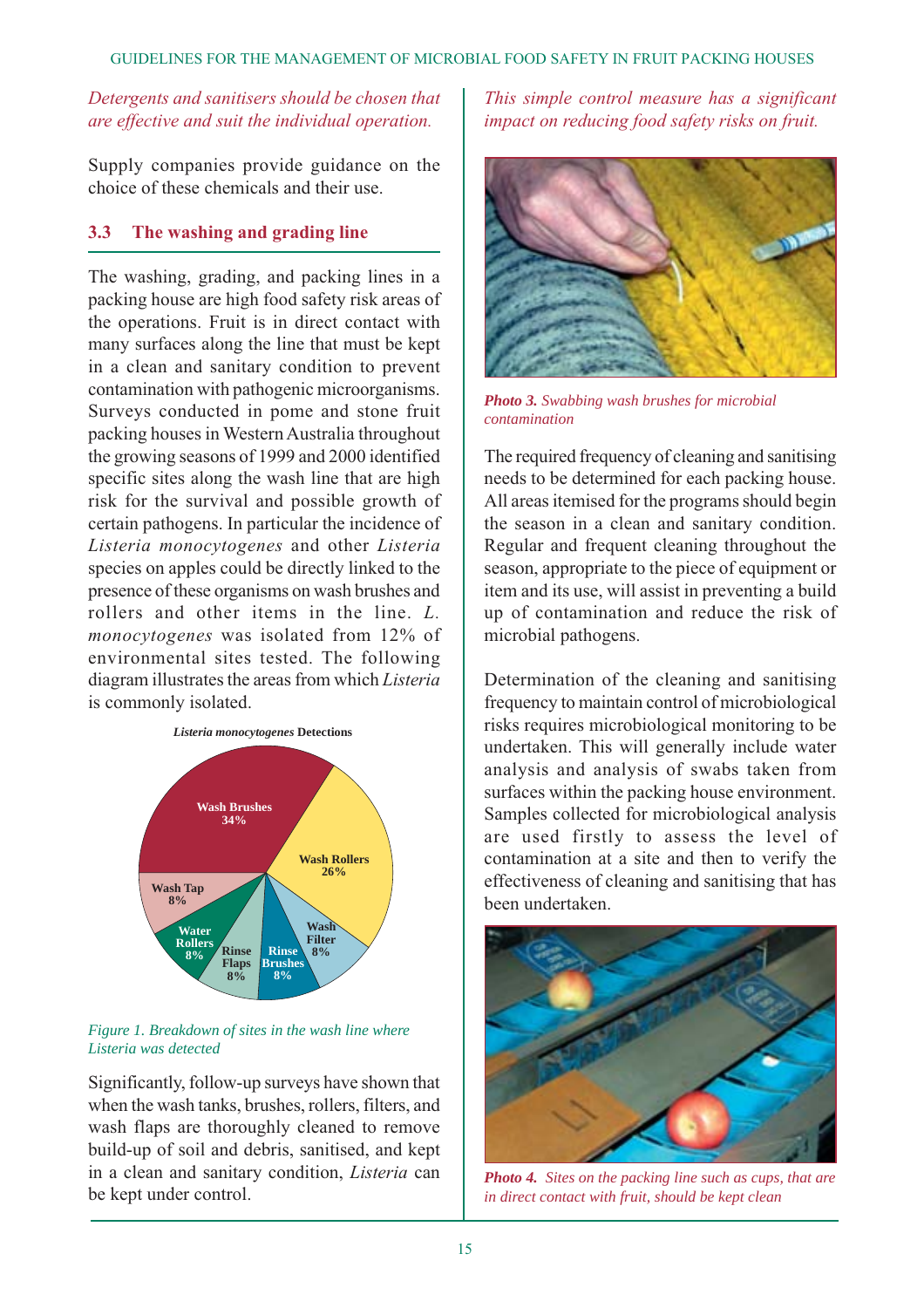#### *Detergents and sanitisers should be chosen that are effective and suit the individual operation.*

Supply companies provide guidance on the choice of these chemicals and their use.

#### **3.3 The washing and grading line**

The washing, grading, and packing lines in a packing house are high food safety risk areas of the operations. Fruit is in direct contact with many surfaces along the line that must be kept in a clean and sanitary condition to prevent contamination with pathogenic microorganisms. Surveys conducted in pome and stone fruit packing houses in Western Australia throughout the growing seasons of 1999 and 2000 identified specific sites along the wash line that are high risk for the survival and possible growth of certain pathogens. In particular the incidence of *Listeria monocytogenes* and other *Listeria* species on apples could be directly linked to the presence of these organisms on wash brushes and rollers and other items in the line. *L. monocytogenes* was isolated from 12% of environmental sites tested. The following diagram illustrates the areas from which *Listeria* is commonly isolated.



*Figure 1. Breakdown of sites in the wash line where Listeria was detected*

Significantly, follow-up surveys have shown that when the wash tanks, brushes, rollers, filters, and wash flaps are thoroughly cleaned to remove build-up of soil and debris, sanitised, and kept in a clean and sanitary condition, *Listeria* can be kept under control.

*This simple control measure has a significant impact on reducing food safety risks on fruit.*



*Photo 3. Swabbing wash brushes for microbial contamination*

The required frequency of cleaning and sanitising needs to be determined for each packing house. All areas itemised for the programs should begin the season in a clean and sanitary condition. Regular and frequent cleaning throughout the season, appropriate to the piece of equipment or item and its use, will assist in preventing a build up of contamination and reduce the risk of microbial pathogens.

Determination of the cleaning and sanitising frequency to maintain control of microbiological risks requires microbiological monitoring to be undertaken. This will generally include water analysis and analysis of swabs taken from surfaces within the packing house environment. Samples collected for microbiological analysis are used firstly to assess the level of contamination at a site and then to verify the effectiveness of cleaning and sanitising that has been undertaken.



*Photo 4. Sites on the packing line such as cups, that are in direct contact with fruit, should be kept clean*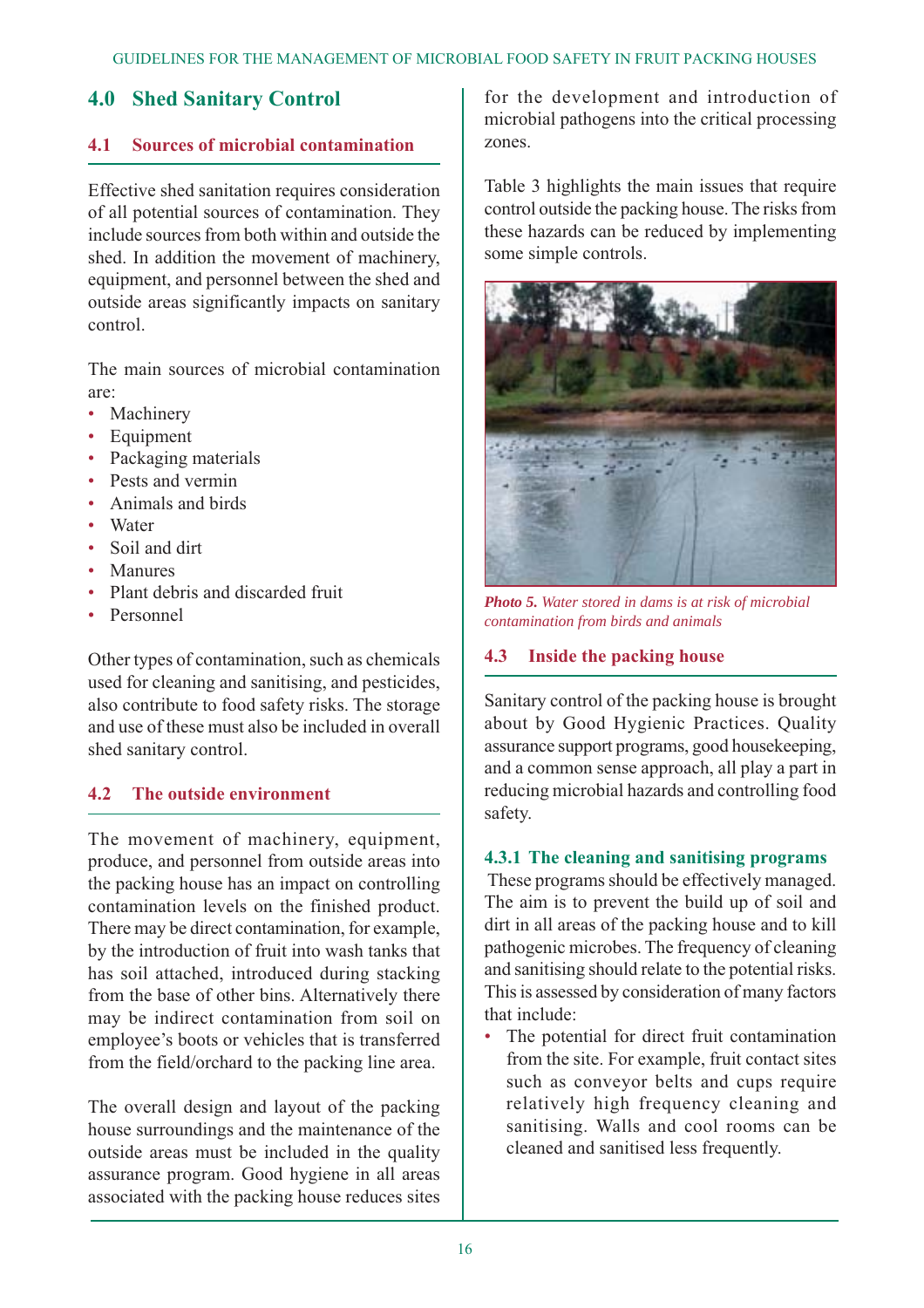# **4.0 Shed Sanitary Control**

#### **4.1 Sources of microbial contamination**

Effective shed sanitation requires consideration of all potential sources of contamination. They include sources from both within and outside the shed. In addition the movement of machinery, equipment, and personnel between the shed and outside areas significantly impacts on sanitary control.

The main sources of microbial contamination are:

- Machinery
- **Equipment**
- Packaging materials
- Pests and vermin
- Animals and birds
- Water
- Soil and dirt
- Manures
- Plant debris and discarded fruit
- Personnel

Other types of contamination, such as chemicals used for cleaning and sanitising, and pesticides, also contribute to food safety risks. The storage and use of these must also be included in overall shed sanitary control.

# **4.2 The outside environment**

The movement of machinery, equipment, produce, and personnel from outside areas into the packing house has an impact on controlling contamination levels on the finished product. There may be direct contamination, for example, by the introduction of fruit into wash tanks that has soil attached, introduced during stacking from the base of other bins. Alternatively there may be indirect contamination from soil on employee's boots or vehicles that is transferred from the field/orchard to the packing line area.

The overall design and layout of the packing house surroundings and the maintenance of the outside areas must be included in the quality assurance program. Good hygiene in all areas associated with the packing house reduces sites

for the development and introduction of microbial pathogens into the critical processing zones.

Table 3 highlights the main issues that require control outside the packing house. The risks from these hazards can be reduced by implementing some simple controls.



*Photo 5. Water stored in dams is at risk of microbial contamination from birds and animals*

#### **4.3 Inside the packing house**

Sanitary control of the packing house is brought about by Good Hygienic Practices. Quality assurance support programs, good housekeeping, and a common sense approach, all play a part in reducing microbial hazards and controlling food safety.

#### **4.3.1 The cleaning and sanitising programs**

These programs should be effectively managed. The aim is to prevent the build up of soil and dirt in all areas of the packing house and to kill pathogenic microbes. The frequency of cleaning and sanitising should relate to the potential risks. This is assessed by consideration of many factors that include:

• The potential for direct fruit contamination from the site. For example, fruit contact sites such as conveyor belts and cups require relatively high frequency cleaning and sanitising. Walls and cool rooms can be cleaned and sanitised less frequently.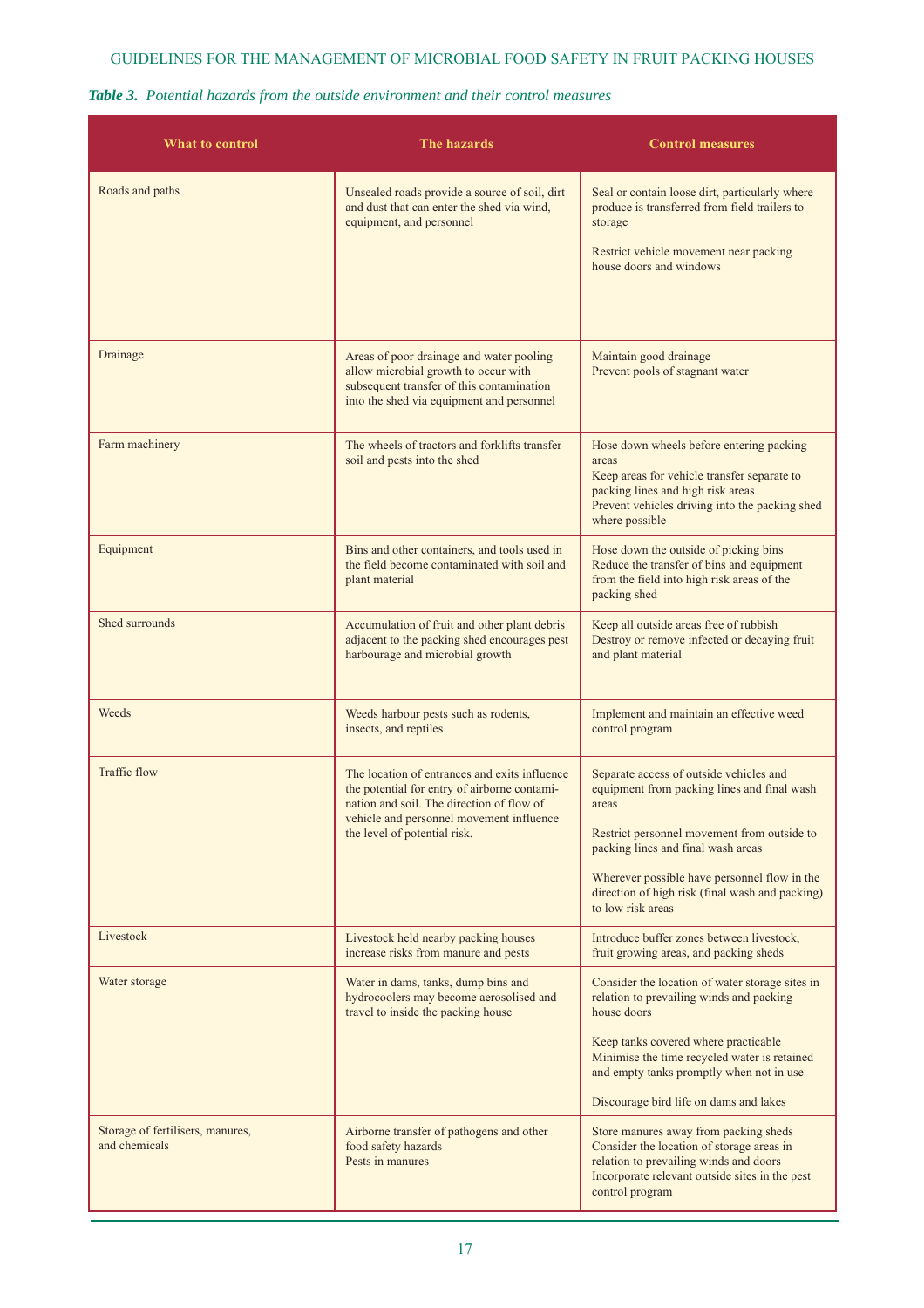#### GUIDELINES FOR THE MANAGEMENT OF MICROBIAL FOOD SAFETY IN FRUIT PACKING HOUSES

#### *Table 3. Potential hazards from the outside environment and their control measures*

| What to control                                   | The hazards                                                                                                                                                                                                            | <b>Control measures</b>                                                                                                                                                                                                                                                                                      |
|---------------------------------------------------|------------------------------------------------------------------------------------------------------------------------------------------------------------------------------------------------------------------------|--------------------------------------------------------------------------------------------------------------------------------------------------------------------------------------------------------------------------------------------------------------------------------------------------------------|
| Roads and paths                                   | Unsealed roads provide a source of soil, dirt<br>and dust that can enter the shed via wind,<br>equipment, and personnel                                                                                                | Seal or contain loose dirt, particularly where<br>produce is transferred from field trailers to<br>storage<br>Restrict vehicle movement near packing<br>house doors and windows                                                                                                                              |
| Drainage                                          | Areas of poor drainage and water pooling<br>allow microbial growth to occur with<br>subsequent transfer of this contamination<br>into the shed via equipment and personnel                                             | Maintain good drainage<br>Prevent pools of stagnant water                                                                                                                                                                                                                                                    |
| Farm machinery                                    | The wheels of tractors and forklifts transfer<br>soil and pests into the shed                                                                                                                                          | Hose down wheels before entering packing<br>areas<br>Keep areas for vehicle transfer separate to<br>packing lines and high risk areas<br>Prevent vehicles driving into the packing shed<br>where possible                                                                                                    |
| Equipment                                         | Bins and other containers, and tools used in<br>the field become contaminated with soil and<br>plant material                                                                                                          | Hose down the outside of picking bins<br>Reduce the transfer of bins and equipment<br>from the field into high risk areas of the<br>packing shed                                                                                                                                                             |
| Shed surrounds                                    | Accumulation of fruit and other plant debris<br>adjacent to the packing shed encourages pest<br>harbourage and microbial growth                                                                                        | Keep all outside areas free of rubbish<br>Destroy or remove infected or decaying fruit<br>and plant material                                                                                                                                                                                                 |
| Weeds                                             | Weeds harbour pests such as rodents,<br>insects, and reptiles                                                                                                                                                          | Implement and maintain an effective weed<br>control program                                                                                                                                                                                                                                                  |
| <b>Traffic flow</b>                               | The location of entrances and exits influence<br>the potential for entry of airborne contami-<br>nation and soil. The direction of flow of<br>vehicle and personnel movement influence<br>the level of potential risk. | Separate access of outside vehicles and<br>equipment from packing lines and final wash<br>areas<br>Restrict personnel movement from outside to<br>packing lines and final wash areas<br>Wherever possible have personnel flow in the<br>direction of high risk (final wash and packing)<br>to low risk areas |
| Livestock                                         | Livestock held nearby packing houses<br>increase risks from manure and pests                                                                                                                                           | Introduce buffer zones between livestock,<br>fruit growing areas, and packing sheds                                                                                                                                                                                                                          |
| Water storage                                     | Water in dams, tanks, dump bins and<br>hydrocoolers may become aerosolised and<br>travel to inside the packing house                                                                                                   | Consider the location of water storage sites in<br>relation to prevailing winds and packing<br>house doors<br>Keep tanks covered where practicable<br>Minimise the time recycled water is retained<br>and empty tanks promptly when not in use<br>Discourage bird life on dams and lakes                     |
| Storage of fertilisers, manures,<br>and chemicals | Airborne transfer of pathogens and other<br>food safety hazards<br>Pests in manures                                                                                                                                    | Store manures away from packing sheds<br>Consider the location of storage areas in<br>relation to prevailing winds and doors<br>Incorporate relevant outside sites in the pest<br>control program                                                                                                            |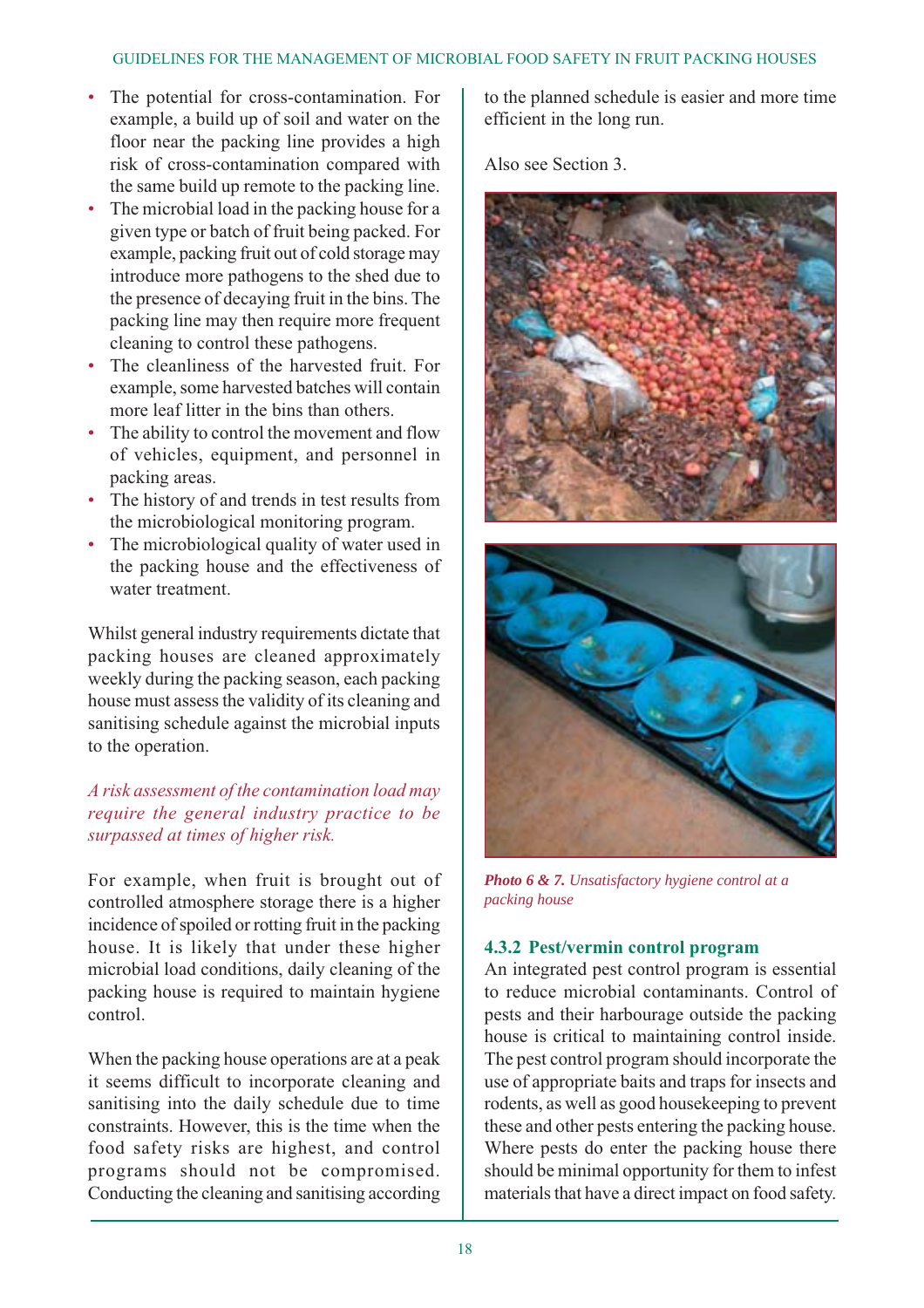- The potential for cross-contamination. For example, a build up of soil and water on the floor near the packing line provides a high risk of cross-contamination compared with the same build up remote to the packing line.
- The microbial load in the packing house for a given type or batch of fruit being packed. For example, packing fruit out of cold storage may introduce more pathogens to the shed due to the presence of decaying fruit in the bins. The packing line may then require more frequent cleaning to control these pathogens.
- The cleanliness of the harvested fruit. For example, some harvested batches will contain more leaf litter in the bins than others.
- The ability to control the movement and flow of vehicles, equipment, and personnel in packing areas.
- The history of and trends in test results from the microbiological monitoring program.
- The microbiological quality of water used in the packing house and the effectiveness of water treatment.

Whilst general industry requirements dictate that packing houses are cleaned approximately weekly during the packing season, each packing house must assess the validity of its cleaning and sanitising schedule against the microbial inputs to the operation.

#### *A risk assessment of the contamination load may require the general industry practice to be surpassed at times of higher risk.*

For example, when fruit is brought out of controlled atmosphere storage there is a higher incidence of spoiled or rotting fruit in the packing house. It is likely that under these higher microbial load conditions, daily cleaning of the packing house is required to maintain hygiene control.

When the packing house operations are at a peak it seems difficult to incorporate cleaning and sanitising into the daily schedule due to time constraints. However, this is the time when the food safety risks are highest, and control programs should not be compromised. Conducting the cleaning and sanitising according to the planned schedule is easier and more time efficient in the long run.

Also see Section 3.





*Photo 6 & 7. Unsatisfactory hygiene control at a packing house*

#### **4.3.2 Pest/vermin control program**

An integrated pest control program is essential to reduce microbial contaminants. Control of pests and their harbourage outside the packing house is critical to maintaining control inside. The pest control program should incorporate the use of appropriate baits and traps for insects and rodents, as well as good housekeeping to prevent these and other pests entering the packing house. Where pests do enter the packing house there should be minimal opportunity for them to infest materials that have a direct impact on food safety.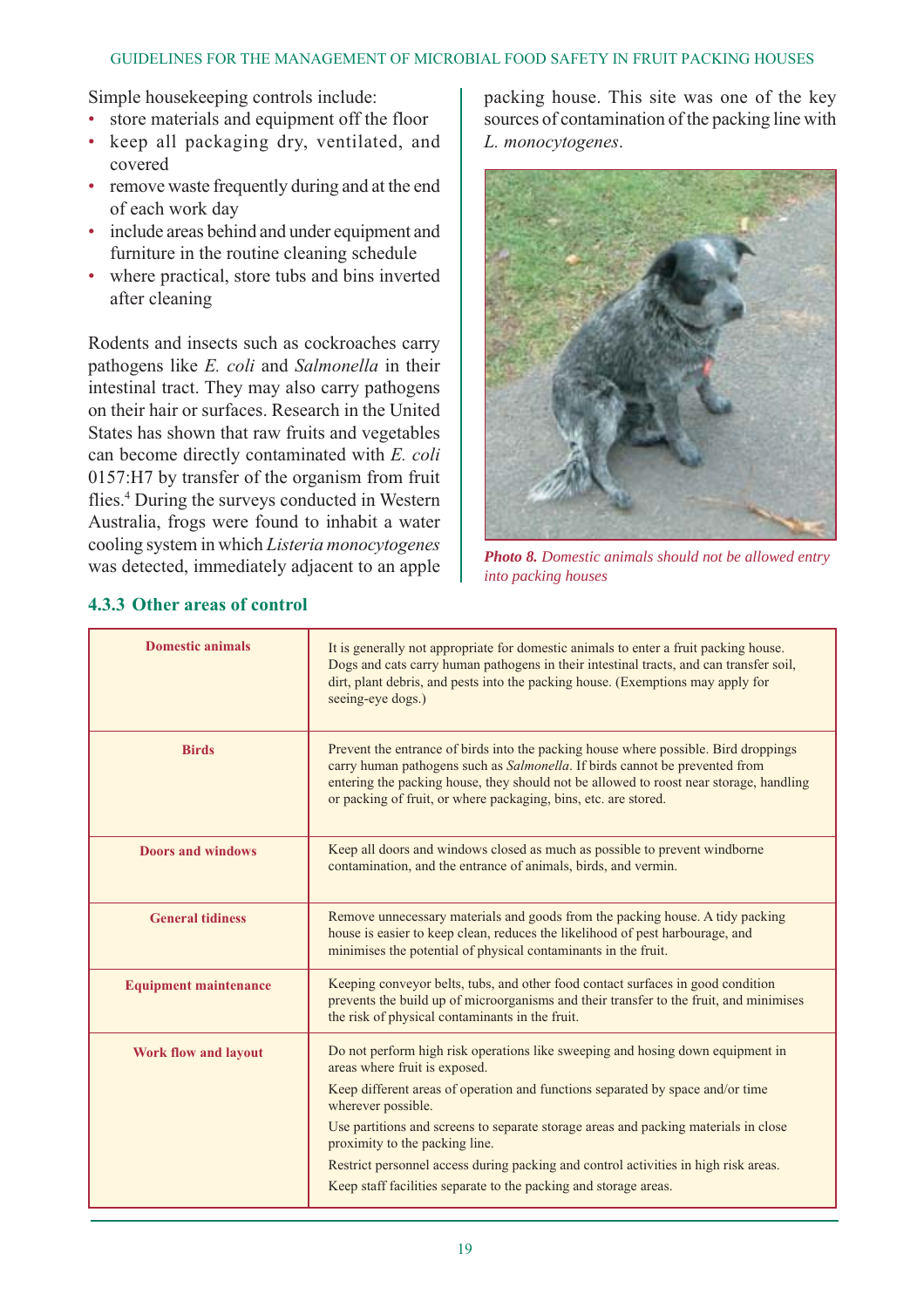#### GUIDELINES FOR THE MANAGEMENT OF MICROBIAL FOOD SAFETY IN FRUIT PACKING HOUSES

Simple housekeeping controls include:

- store materials and equipment off the floor
- keep all packaging dry, ventilated, and covered
- remove waste frequently during and at the end of each work day
- include areas behind and under equipment and furniture in the routine cleaning schedule
- where practical, store tubs and bins inverted after cleaning

Rodents and insects such as cockroaches carry pathogens like *E. coli* and *Salmonella* in their intestinal tract. They may also carry pathogens on their hair or surfaces. Research in the United States has shown that raw fruits and vegetables can become directly contaminated with *E. coli* 0157:H7 by transfer of the organism from fruit flies.4 During the surveys conducted in Western Australia, frogs were found to inhabit a water cooling system in which *Listeria monocytogenes* was detected, immediately adjacent to an apple

packing house. This site was one of the key sources of contamination of the packing line with *L. monocytogenes*.



*Photo 8. Domestic animals should not be allowed entry into packing houses*

| <b>Domestic animals</b>      | It is generally not appropriate for domestic animals to enter a fruit packing house.<br>Dogs and cats carry human pathogens in their intestinal tracts, and can transfer soil,<br>dirt, plant debris, and pests into the packing house. (Exemptions may apply for<br>seeing-eye dogs.)                                                                                                                                                                                                                      |  |
|------------------------------|-------------------------------------------------------------------------------------------------------------------------------------------------------------------------------------------------------------------------------------------------------------------------------------------------------------------------------------------------------------------------------------------------------------------------------------------------------------------------------------------------------------|--|
| <b>Birds</b>                 | Prevent the entrance of birds into the packing house where possible. Bird droppings<br>carry human pathogens such as Salmonella. If birds cannot be prevented from<br>entering the packing house, they should not be allowed to roost near storage, handling<br>or packing of fruit, or where packaging, bins, etc. are stored.                                                                                                                                                                             |  |
| <b>Doors and windows</b>     | Keep all doors and windows closed as much as possible to prevent windborne<br>contamination, and the entrance of animals, birds, and vermin.                                                                                                                                                                                                                                                                                                                                                                |  |
| <b>General tidiness</b>      | Remove unnecessary materials and goods from the packing house. A tidy packing<br>house is easier to keep clean, reduces the likelihood of pest harbourage, and<br>minimises the potential of physical contaminants in the fruit.                                                                                                                                                                                                                                                                            |  |
| <b>Equipment maintenance</b> | Keeping conveyor belts, tubs, and other food contact surfaces in good condition<br>prevents the build up of microorganisms and their transfer to the fruit, and minimises<br>the risk of physical contaminants in the fruit.                                                                                                                                                                                                                                                                                |  |
| <b>Work flow and layout</b>  | Do not perform high risk operations like sweeping and hosing down equipment in<br>areas where fruit is exposed.<br>Keep different areas of operation and functions separated by space and/or time<br>wherever possible.<br>Use partitions and screens to separate storage areas and packing materials in close<br>proximity to the packing line.<br>Restrict personnel access during packing and control activities in high risk areas.<br>Keep staff facilities separate to the packing and storage areas. |  |

# **4.3.3 Other areas of control**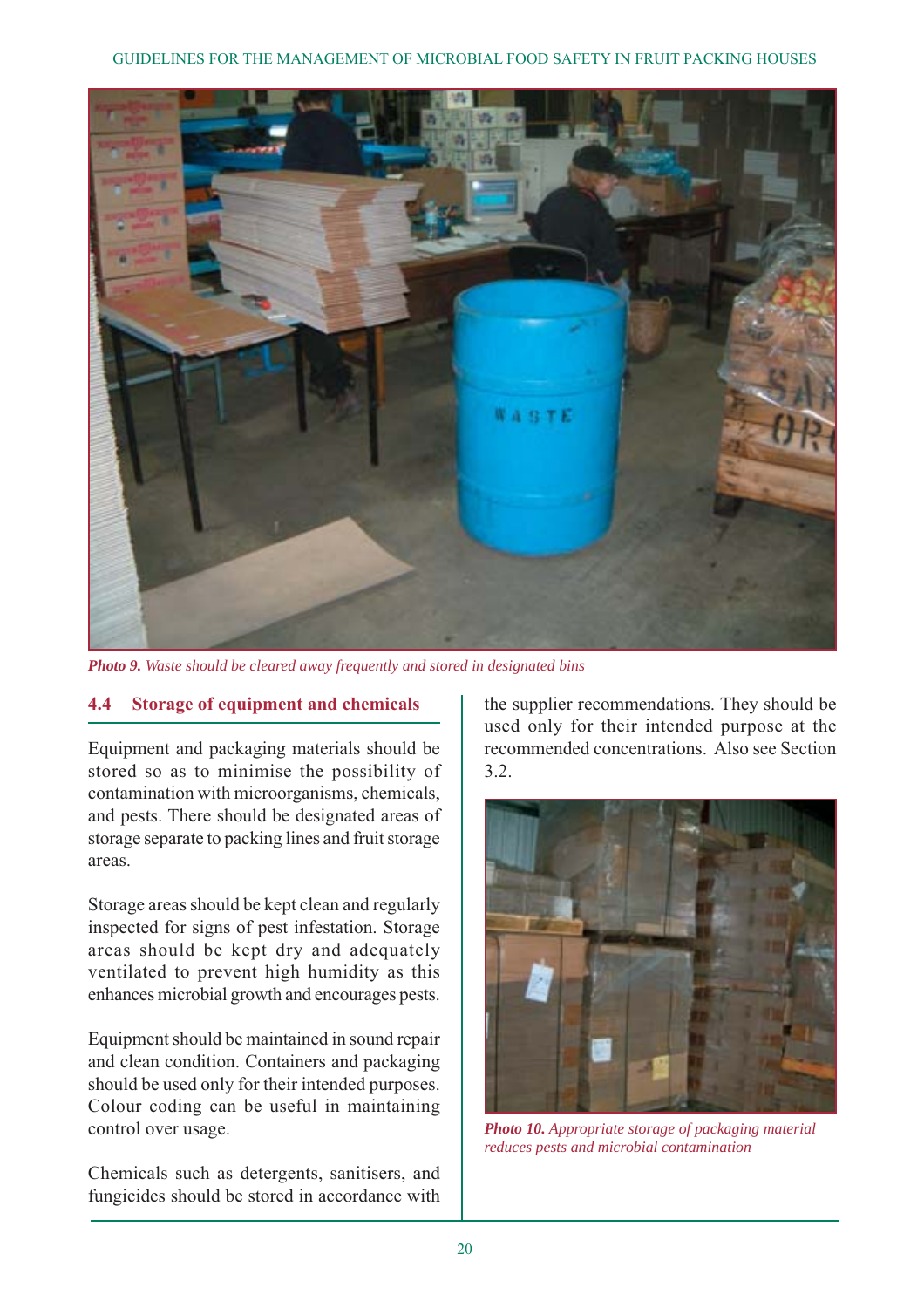

*Photo 9. Waste should be cleared away frequently and stored in designated bins*

#### **4.4 Storage of equipment and chemicals**

Equipment and packaging materials should be stored so as to minimise the possibility of contamination with microorganisms, chemicals, and pests. There should be designated areas of storage separate to packing lines and fruit storage areas.

Storage areas should be kept clean and regularly inspected for signs of pest infestation. Storage areas should be kept dry and adequately ventilated to prevent high humidity as this enhances microbial growth and encourages pests.

Equipment should be maintained in sound repair and clean condition. Containers and packaging should be used only for their intended purposes. Colour coding can be useful in maintaining control over usage.

Chemicals such as detergents, sanitisers, and fungicides should be stored in accordance with

the supplier recommendations. They should be used only for their intended purpose at the recommended concentrations. Also see Section 3.2.



*Photo 10. Appropriate storage of packaging material reduces pests and microbial contamination*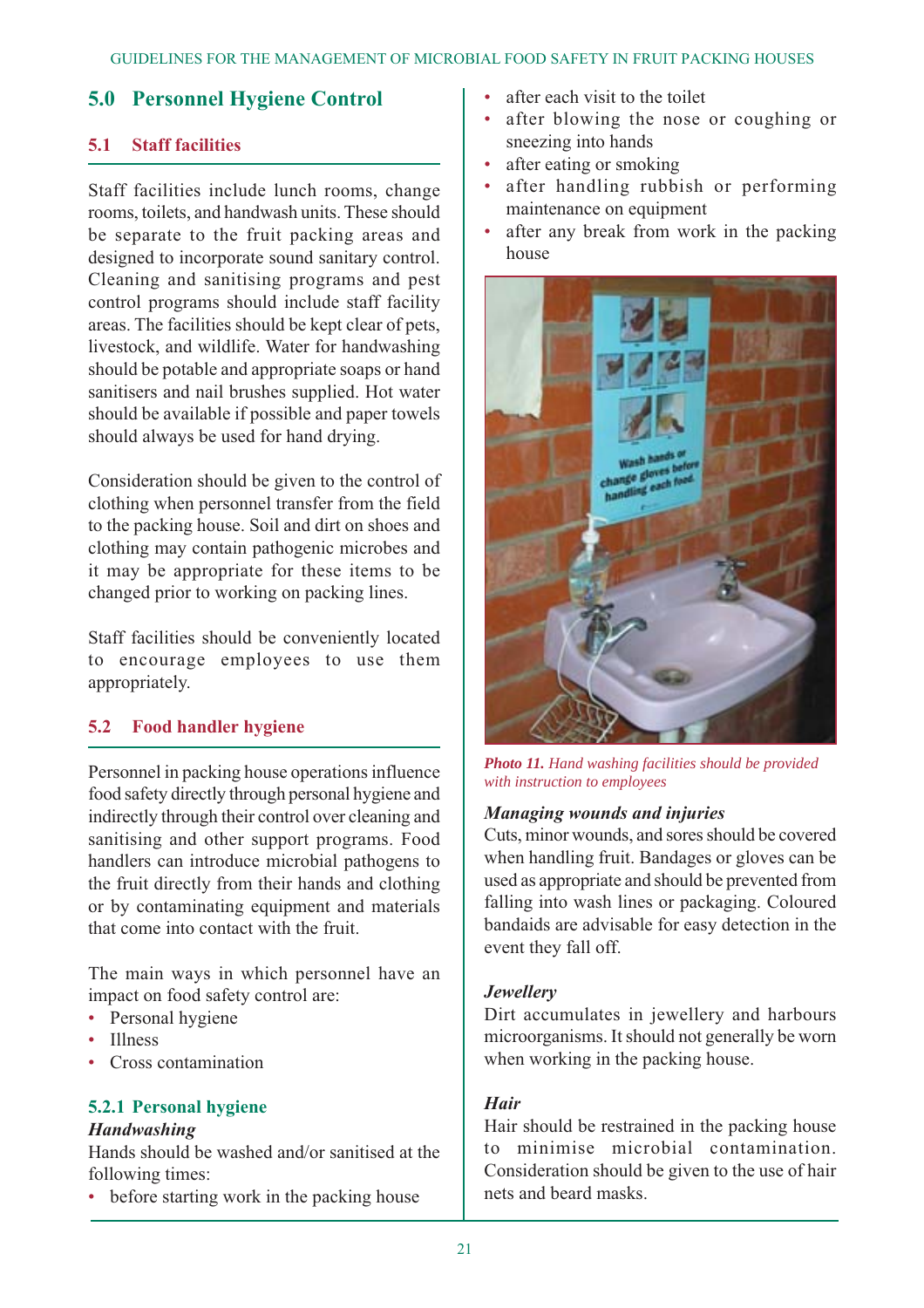# **5.0 Personnel Hygiene Control**

# **5.1 Staff facilities**

Staff facilities include lunch rooms, change rooms, toilets, and handwash units. These should be separate to the fruit packing areas and designed to incorporate sound sanitary control. Cleaning and sanitising programs and pest control programs should include staff facility areas. The facilities should be kept clear of pets, livestock, and wildlife. Water for handwashing should be potable and appropriate soaps or hand sanitisers and nail brushes supplied. Hot water should be available if possible and paper towels should always be used for hand drying.

Consideration should be given to the control of clothing when personnel transfer from the field to the packing house. Soil and dirt on shoes and clothing may contain pathogenic microbes and it may be appropriate for these items to be changed prior to working on packing lines.

Staff facilities should be conveniently located to encourage employees to use them appropriately.

# **5.2 Food handler hygiene**

Personnel in packing house operations influence food safety directly through personal hygiene and indirectly through their control over cleaning and sanitising and other support programs. Food handlers can introduce microbial pathogens to the fruit directly from their hands and clothing or by contaminating equipment and materials that come into contact with the fruit.

The main ways in which personnel have an impact on food safety control are:

- Personal hygiene
- Illness
- Cross contamination

#### **5.2.1 Personal hygiene** *Handwashing*

Hands should be washed and/or sanitised at the following times:

• before starting work in the packing house

- after each visit to the toilet
- after blowing the nose or coughing or sneezing into hands
- after eating or smoking
- after handling rubbish or performing maintenance on equipment
- after any break from work in the packing house



*Photo 11. Hand washing facilities should be provided with instruction to employees*

#### *Managing wounds and injuries*

Cuts, minor wounds, and sores should be covered when handling fruit. Bandages or gloves can be used as appropriate and should be prevented from falling into wash lines or packaging. Coloured bandaids are advisable for easy detection in the event they fall off.

#### *Jewellery*

Dirt accumulates in jewellery and harbours microorganisms. It should not generally be worn when working in the packing house.

#### *Hair*

Hair should be restrained in the packing house to minimise microbial contamination. Consideration should be given to the use of hair nets and beard masks.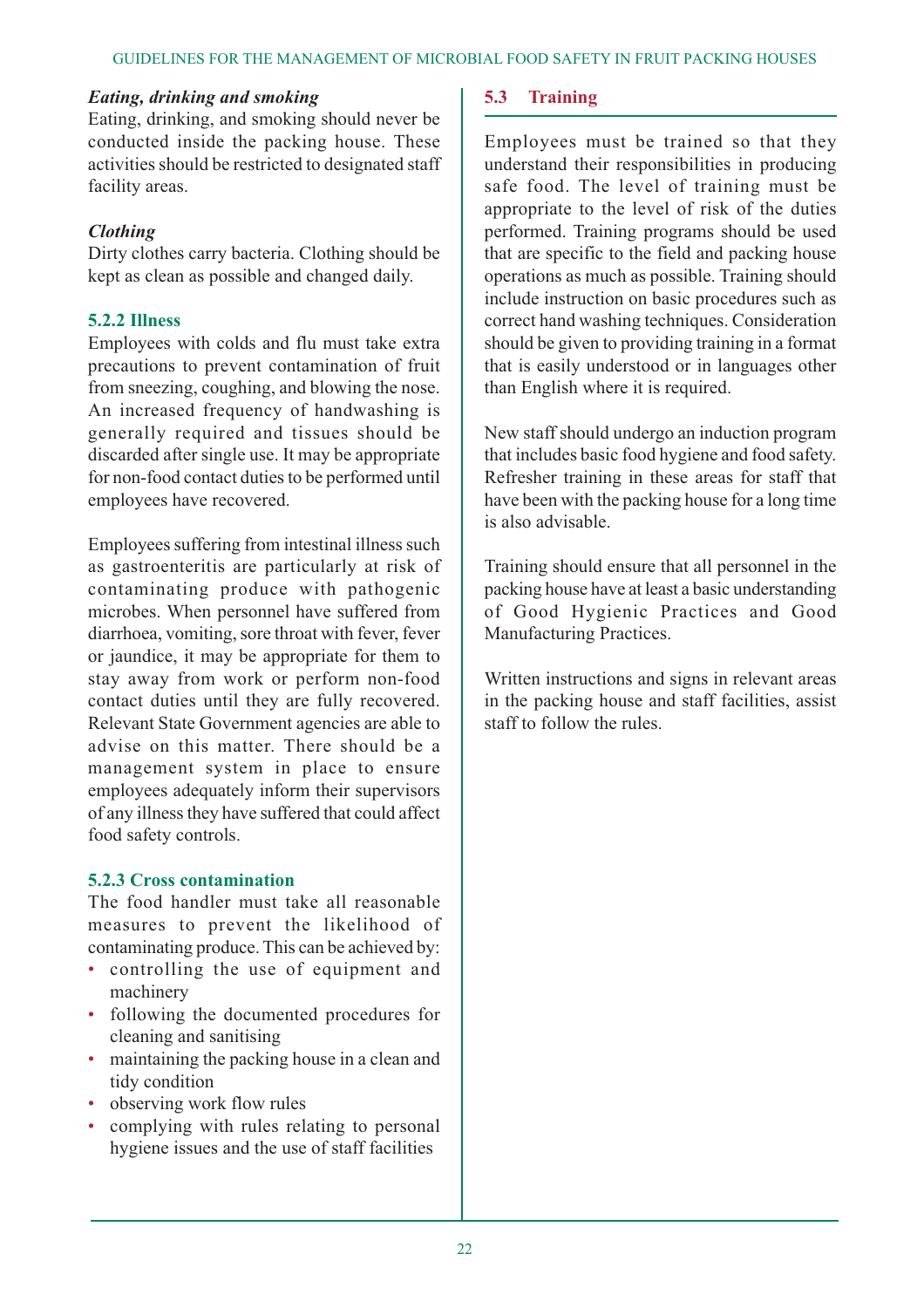#### *Eating, drinking and smoking*

Eating, drinking, and smoking should never be conducted inside the packing house. These activities should be restricted to designated staff facility areas.

#### *Clothing*

Dirty clothes carry bacteria. Clothing should be kept as clean as possible and changed daily.

#### **5.2.2 Illness**

Employees with colds and flu must take extra precautions to prevent contamination of fruit from sneezing, coughing, and blowing the nose. An increased frequency of handwashing is generally required and tissues should be discarded after single use. It may be appropriate for non-food contact duties to be performed until employees have recovered.

Employees suffering from intestinal illness such as gastroenteritis are particularly at risk of contaminating produce with pathogenic microbes. When personnel have suffered from diarrhoea, vomiting, sore throat with fever, fever or jaundice, it may be appropriate for them to stay away from work or perform non-food contact duties until they are fully recovered. Relevant State Government agencies are able to advise on this matter. There should be a management system in place to ensure employees adequately inform their supervisors of any illness they have suffered that could affect food safety controls.

#### **5.2.3 Cross contamination**

The food handler must take all reasonable measures to prevent the likelihood of contaminating produce. This can be achieved by:

- controlling the use of equipment and machinery
- following the documented procedures for cleaning and sanitising
- maintaining the packing house in a clean and tidy condition
- observing work flow rules
- complying with rules relating to personal hygiene issues and the use of staff facilities

#### **5.3 Training**

Employees must be trained so that they understand their responsibilities in producing safe food. The level of training must be appropriate to the level of risk of the duties performed. Training programs should be used that are specific to the field and packing house operations as much as possible. Training should include instruction on basic procedures such as correct hand washing techniques. Consideration should be given to providing training in a format that is easily understood or in languages other than English where it is required.

New staff should undergo an induction program that includes basic food hygiene and food safety. Refresher training in these areas for staff that have been with the packing house for a long time is also advisable.

Training should ensure that all personnel in the packing house have at least a basic understanding of Good Hygienic Practices and Good Manufacturing Practices.

Written instructions and signs in relevant areas in the packing house and staff facilities, assist staff to follow the rules.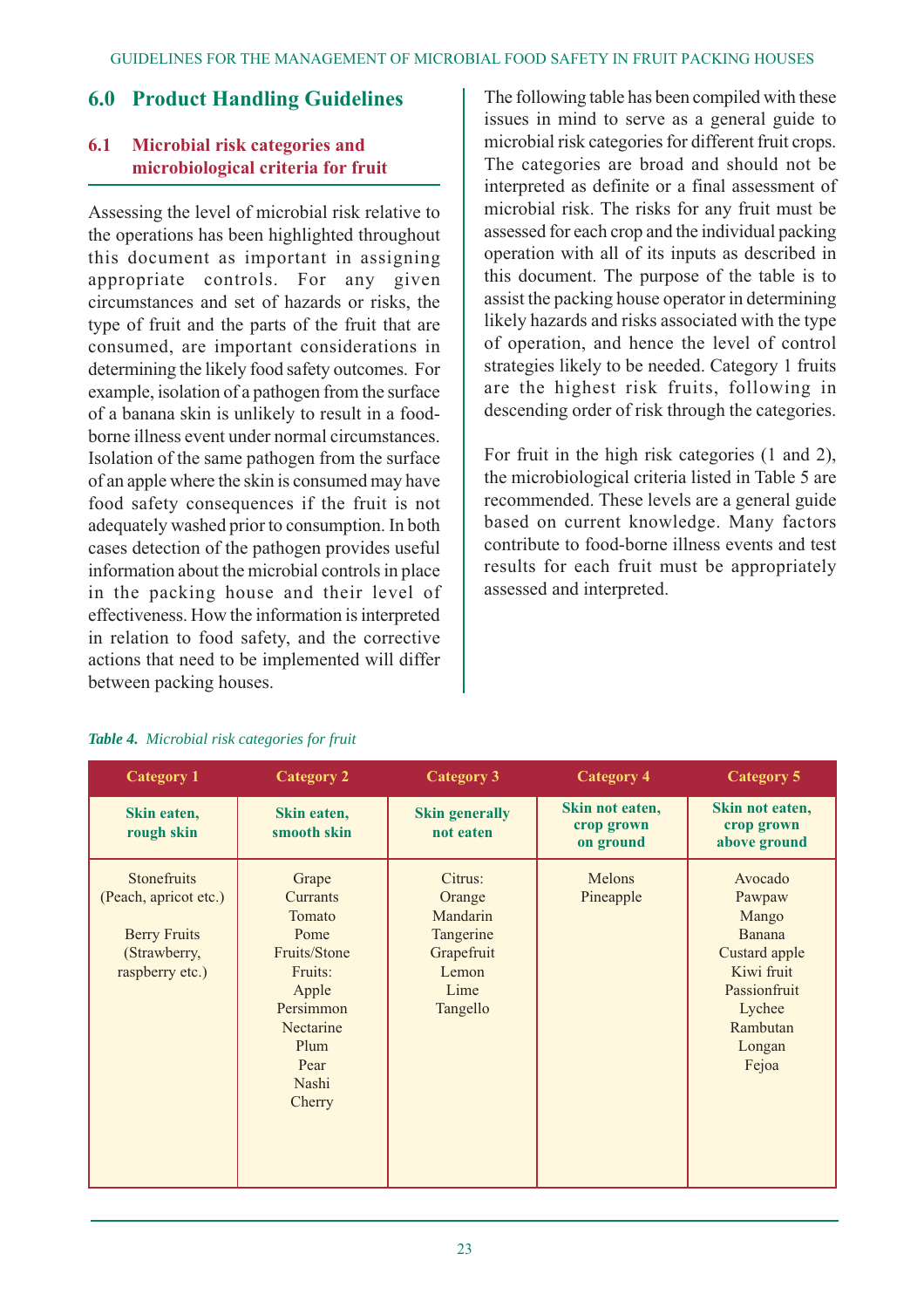# **6.0 Product Handling Guidelines**

# **6.1 Microbial risk categories and microbiological criteria for fruit**

Assessing the level of microbial risk relative to the operations has been highlighted throughout this document as important in assigning appropriate controls. For any given circumstances and set of hazards or risks, the type of fruit and the parts of the fruit that are consumed, are important considerations in determining the likely food safety outcomes. For example, isolation of a pathogen from the surface of a banana skin is unlikely to result in a foodborne illness event under normal circumstances. Isolation of the same pathogen from the surface of an apple where the skin is consumed may have food safety consequences if the fruit is not adequately washed prior to consumption. In both cases detection of the pathogen provides useful information about the microbial controls in place in the packing house and their level of effectiveness. How the information is interpreted in relation to food safety, and the corrective actions that need to be implemented will differ between packing houses.

The following table has been compiled with these issues in mind to serve as a general guide to microbial risk categories for different fruit crops. The categories are broad and should not be interpreted as definite or a final assessment of microbial risk. The risks for any fruit must be assessed for each crop and the individual packing operation with all of its inputs as described in this document. The purpose of the table is to assist the packing house operator in determining likely hazards and risks associated with the type of operation, and hence the level of control strategies likely to be needed. Category 1 fruits are the highest risk fruits, following in descending order of risk through the categories.

For fruit in the high risk categories (1 and 2), the microbiological criteria listed in Table 5 are recommended. These levels are a general guide based on current knowledge. Many factors contribute to food-borne illness events and test results for each fruit must be appropriately assessed and interpreted.

| <b>Category 1</b>                                                                              | <b>Category 2</b>                                                                                                                    | <b>Category 3</b>                                                                     | <b>Category 4</b>                          | <b>Category 5</b>                                                                                                            |
|------------------------------------------------------------------------------------------------|--------------------------------------------------------------------------------------------------------------------------------------|---------------------------------------------------------------------------------------|--------------------------------------------|------------------------------------------------------------------------------------------------------------------------------|
| Skin eaten,<br>rough skin                                                                      | Skin eaten,<br>smooth skin                                                                                                           | <b>Skin generally</b><br>not eaten                                                    | Skin not eaten,<br>crop grown<br>on ground | Skin not eaten,<br>crop grown<br>above ground                                                                                |
| Stonefruits<br>(Peach, apricot etc.)<br><b>Berry Fruits</b><br>(Strawberry,<br>raspberry etc.) | Grape<br>Currants<br>Tomato<br>Pome<br>Fruits/Stone<br>Fruits:<br>Apple<br>Persimmon<br>Nectarine<br>Plum<br>Pear<br>Nashi<br>Cherry | Citrus:<br>Orange<br>Mandarin<br>Tangerine<br>Grapefruit<br>Lemon<br>Lime<br>Tangello | Melons<br>Pineapple                        | Avocado<br>Pawpaw<br>Mango<br>Banana<br>Custard apple<br>Kiwi fruit<br>Passionfruit<br>Lychee<br>Rambutan<br>Longan<br>Fejoa |

#### *Table 4. Microbial risk categories for fruit*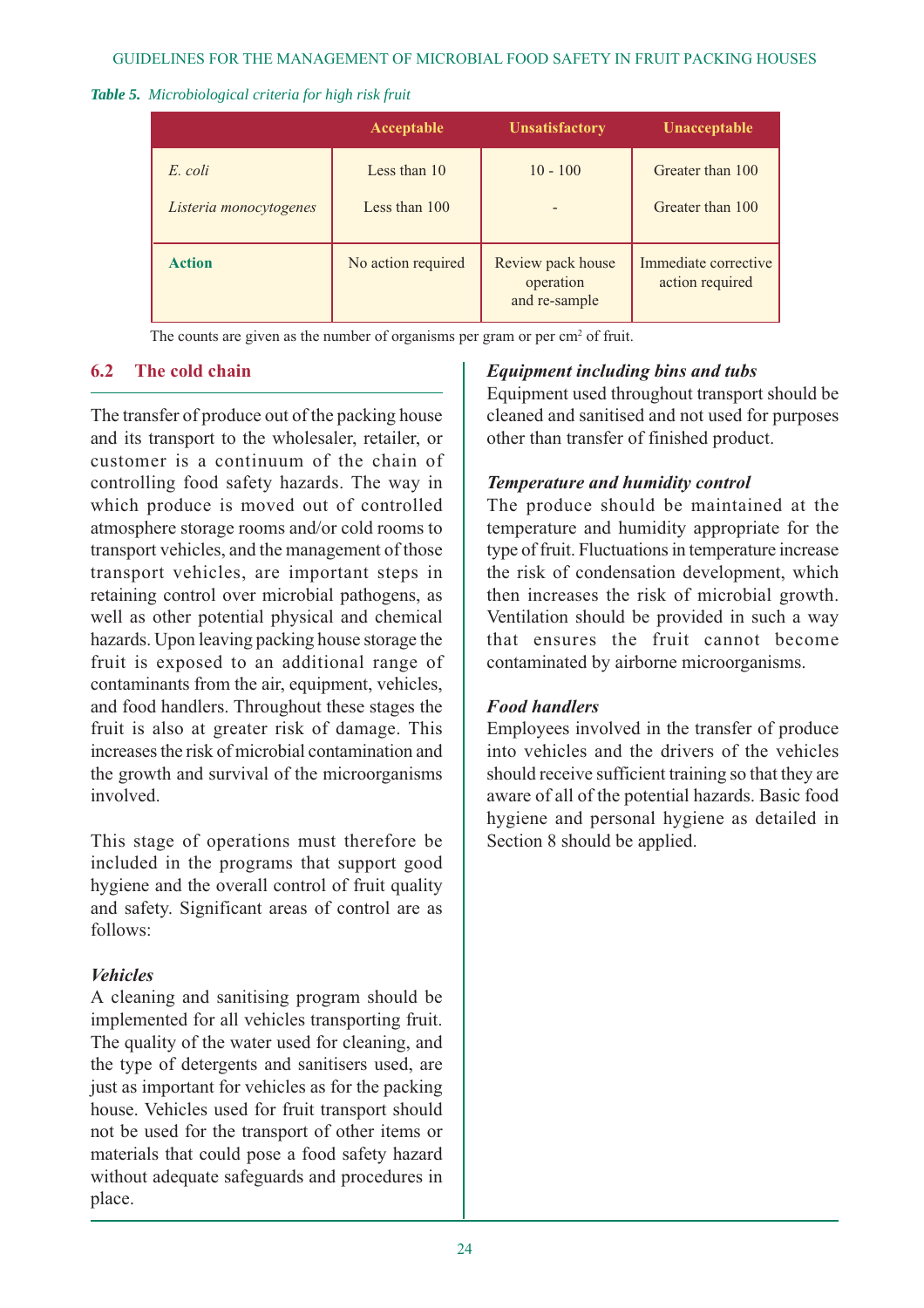#### *Table 5. Microbiological criteria for high risk fruit*

|                                   | Acceptable                    | <b>Unsatisfactory</b>                           | Unacceptable                            |
|-----------------------------------|-------------------------------|-------------------------------------------------|-----------------------------------------|
| E. coli<br>Listeria monocytogenes | Less than 10<br>Less than 100 | $10 - 100$                                      | Greater than 100<br>Greater than 100    |
| <b>Action</b>                     | No action required            | Review pack house<br>operation<br>and re-sample | Immediate corrective<br>action required |

The counts are given as the number of organisms per gram or per  $\text{cm}^2$  of fruit.

#### **6.2 The cold chain**

The transfer of produce out of the packing house and its transport to the wholesaler, retailer, or customer is a continuum of the chain of controlling food safety hazards. The way in which produce is moved out of controlled atmosphere storage rooms and/or cold rooms to transport vehicles, and the management of those transport vehicles, are important steps in retaining control over microbial pathogens, as well as other potential physical and chemical hazards. Upon leaving packing house storage the fruit is exposed to an additional range of contaminants from the air, equipment, vehicles, and food handlers. Throughout these stages the fruit is also at greater risk of damage. This increases the risk of microbial contamination and the growth and survival of the microorganisms involved.

This stage of operations must therefore be included in the programs that support good hygiene and the overall control of fruit quality and safety. Significant areas of control are as follows:

# *Vehicles*

A cleaning and sanitising program should be implemented for all vehicles transporting fruit. The quality of the water used for cleaning, and the type of detergents and sanitisers used, are just as important for vehicles as for the packing house. Vehicles used for fruit transport should not be used for the transport of other items or materials that could pose a food safety hazard without adequate safeguards and procedures in place.

# *Equipment including bins and tubs*

Equipment used throughout transport should be cleaned and sanitised and not used for purposes other than transfer of finished product.

#### *Temperature and humidity control*

The produce should be maintained at the temperature and humidity appropriate for the type of fruit. Fluctuations in temperature increase the risk of condensation development, which then increases the risk of microbial growth. Ventilation should be provided in such a way that ensures the fruit cannot become contaminated by airborne microorganisms.

#### *Food handlers*

Employees involved in the transfer of produce into vehicles and the drivers of the vehicles should receive sufficient training so that they are aware of all of the potential hazards. Basic food hygiene and personal hygiene as detailed in Section 8 should be applied.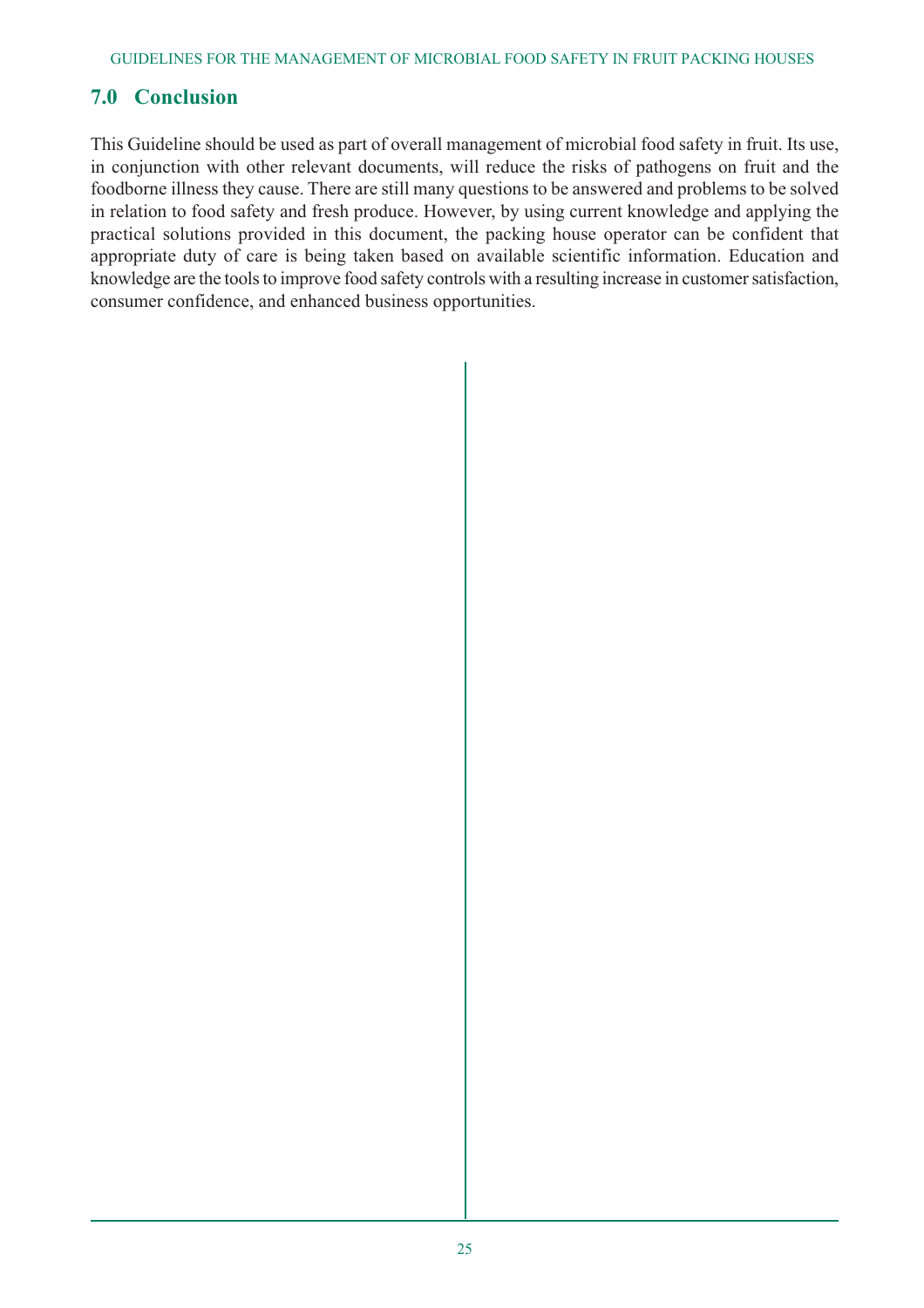# **7.0 Conclusion**

This Guideline should be used as part of overall management of microbial food safety in fruit. Its use, in conjunction with other relevant documents, will reduce the risks of pathogens on fruit and the foodborne illness they cause. There are still many questions to be answered and problems to be solved in relation to food safety and fresh produce. However, by using current knowledge and applying the practical solutions provided in this document, the packing house operator can be confident that appropriate duty of care is being taken based on available scientific information. Education and knowledge are the tools to improve food safety controls with a resulting increase in customer satisfaction, consumer confidence, and enhanced business opportunities.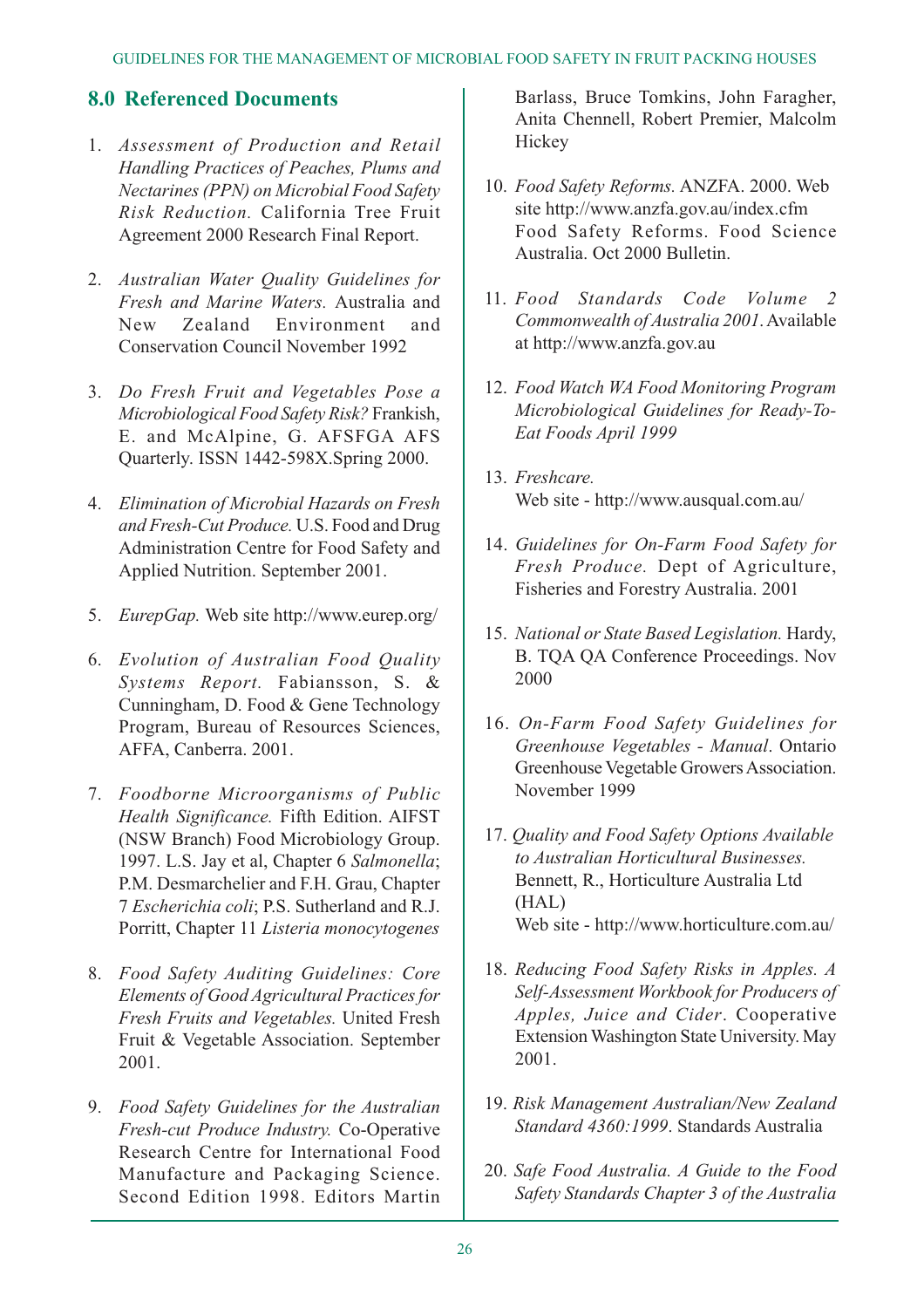# **8.0 Referenced Documents**

- 1. *Assessment of Production and Retail Handling Practices of Peaches, Plums and Nectarines (PPN) on Microbial Food Safety Risk Reduction.* California Tree Fruit Agreement 2000 Research Final Report.
- 2. *Australian Water Quality Guidelines for Fresh and Marine Waters.* Australia and New Zealand Environment and Conservation Council November 1992
- 3. *Do Fresh Fruit and Vegetables Pose a Microbiological Food Safety Risk?* Frankish, E. and McAlpine, G. AFSFGA AFS Quarterly. ISSN 1442-598X.Spring 2000.
- 4. *Elimination of Microbial Hazards on Fresh and Fresh-Cut Produce.* U.S. Food and Drug Administration Centre for Food Safety and Applied Nutrition. September 2001.
- 5. *EurepGap.* Web site http://www.eurep.org/
- 6. *Evolution of Australian Food Quality Systems Report.* Fabiansson, S. & Cunningham, D. Food & Gene Technology Program, Bureau of Resources Sciences, AFFA, Canberra. 2001.
- 7. *Foodborne Microorganisms of Public Health Significance.* Fifth Edition. AIFST (NSW Branch) Food Microbiology Group. 1997. L.S. Jay et al, Chapter 6 *Salmonella*; P.M. Desmarchelier and F.H. Grau, Chapter 7 *Escherichia coli*; P.S. Sutherland and R.J. Porritt, Chapter 11 *Listeria monocytogenes*
- 8. *Food Safety Auditing Guidelines: Core Elements of Good Agricultural Practices for Fresh Fruits and Vegetables.* United Fresh Fruit & Vegetable Association. September 2001.
- 9. *Food Safety Guidelines for the Australian Fresh-cut Produce Industry.* Co-Operative Research Centre for International Food Manufacture and Packaging Science. Second Edition 1998. Editors Martin

Barlass, Bruce Tomkins, John Faragher, Anita Chennell, Robert Premier, Malcolm Hickey

- 10. *Food Safety Reforms.* ANZFA. 2000. Web site http://www.anzfa.gov.au/index.cfm Food Safety Reforms. Food Science Australia. Oct 2000 Bulletin.
- 11. *Food Standards Code Volume 2 Commonwealth of Australia 2001*. Available at http://www.anzfa.gov.au
- 12. *Food Watch WA Food Monitoring Program Microbiological Guidelines for Ready-To-Eat Foods April 1999*
- 13. *Freshcare.* Web site - http://www.ausqual.com.au/
- 14. *Guidelines for On-Farm Food Safety for Fresh Produce.* Dept of Agriculture, Fisheries and Forestry Australia. 2001
- 15. *National or State Based Legislation.* Hardy, B. TQA QA Conference Proceedings. Nov 2000
- 16. *On-Farm Food Safety Guidelines for Greenhouse Vegetables - Manual*. Ontario Greenhouse Vegetable Growers Association. November 1999
- 17. *Quality and Food Safety Options Available to Australian Horticultural Businesses.* Bennett, R., Horticulture Australia Ltd (HAL) Web site - http://www.horticulture.com.au/
- 18. *Reducing Food Safety Risks in Apples. A Self-Assessment Workbook for Producers of Apples, Juice and Cider*. Cooperative Extension Washington State University. May 2001.
- 19. *Risk Management Australian/New Zealand Standard 4360:1999*. Standards Australia
- 20. *Safe Food Australia. A Guide to the Food Safety Standards Chapter 3 of the Australia*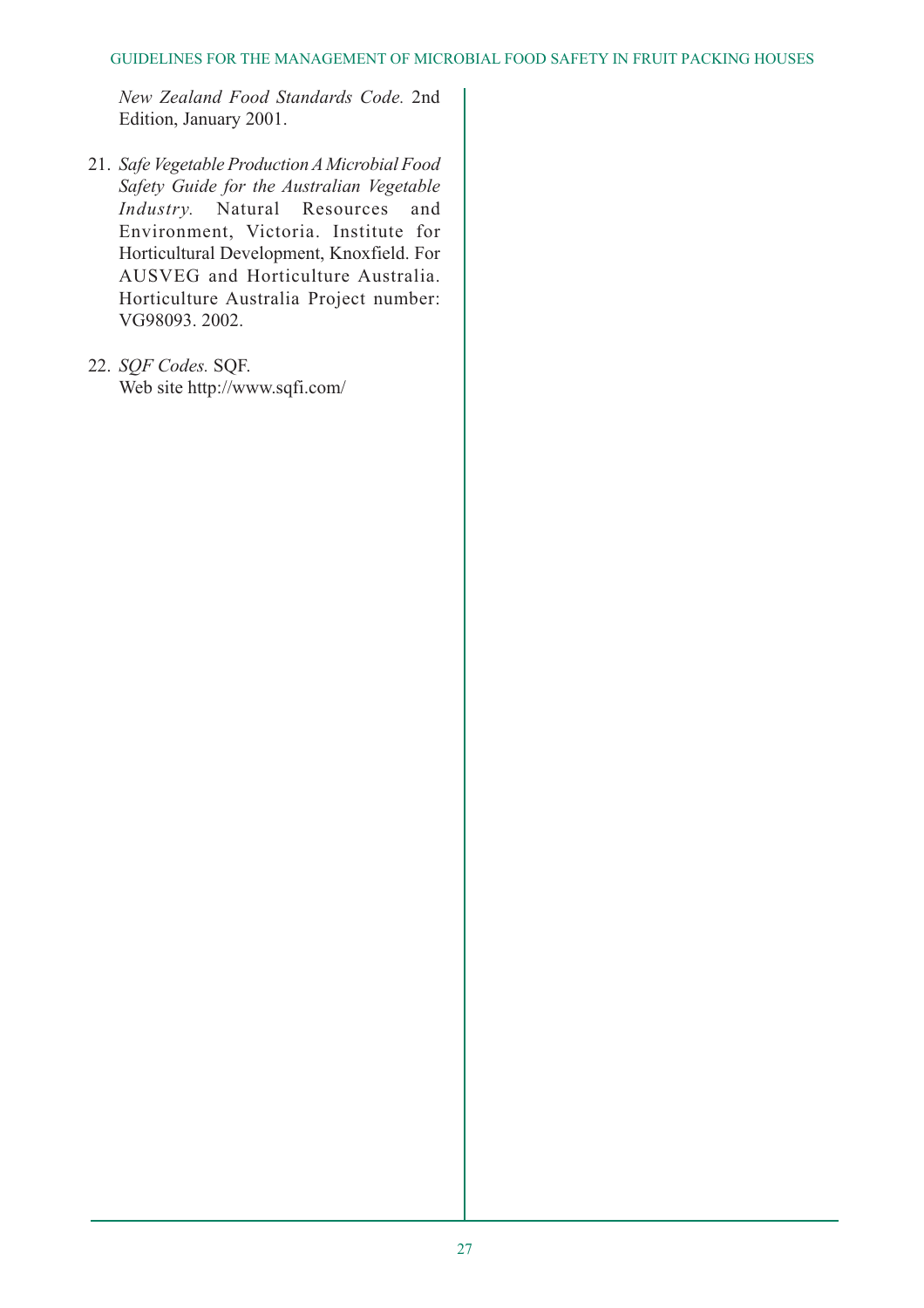*New Zealand Food Standards Code.* 2nd Edition, January 2001.

- 21. *Safe Vegetable Production A Microbial Food Safety Guide for the Australian Vegetable Industry.* Natural Resources and Environment, Victoria. Institute for Horticultural Development, Knoxfield. For AUSVEG and Horticulture Australia. Horticulture Australia Project number: VG98093. 2002.
- 22. *SQF Codes.* SQF. Web site http://www.sqfi.com/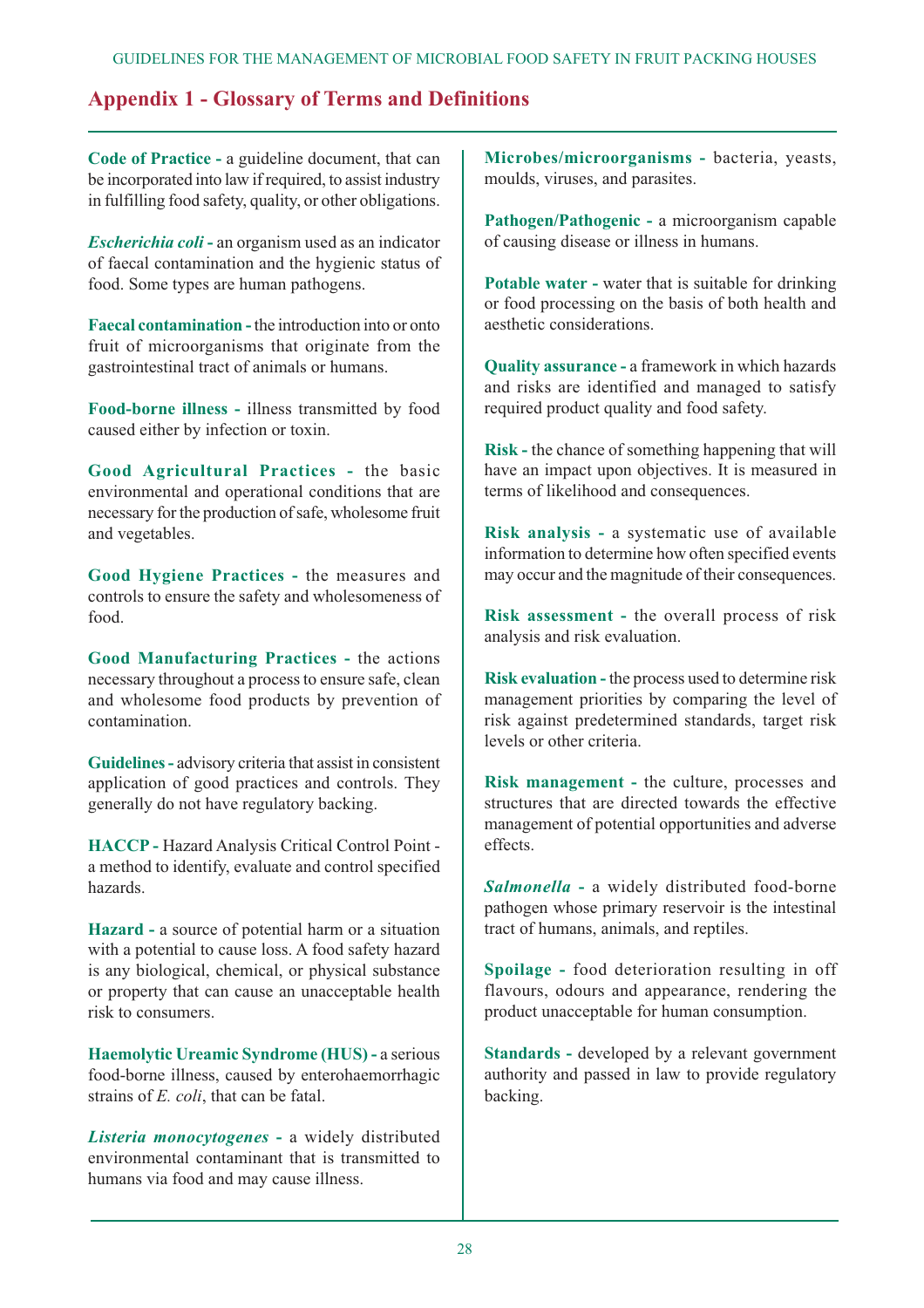# **Appendix 1 - Glossary of Terms and Definitions**

**Code of Practice -** a guideline document, that can be incorporated into law if required, to assist industry in fulfilling food safety, quality, or other obligations.

*Escherichia coli* **-** an organism used as an indicator of faecal contamination and the hygienic status of food. Some types are human pathogens.

**Faecal contamination -** the introduction into or onto fruit of microorganisms that originate from the gastrointestinal tract of animals or humans.

**Food-borne illness -** illness transmitted by food caused either by infection or toxin.

**Good Agricultural Practices -** the basic environmental and operational conditions that are necessary for the production of safe, wholesome fruit and vegetables.

**Good Hygiene Practices -** the measures and controls to ensure the safety and wholesomeness of food.

**Good Manufacturing Practices -** the actions necessary throughout a process to ensure safe, clean and wholesome food products by prevention of contamination.

**Guidelines -** advisory criteria that assist in consistent application of good practices and controls. They generally do not have regulatory backing.

**HACCP -** Hazard Analysis Critical Control Point a method to identify, evaluate and control specified hazards.

**Hazard -** a source of potential harm or a situation with a potential to cause loss. A food safety hazard is any biological, chemical, or physical substance or property that can cause an unacceptable health risk to consumers.

**Haemolytic Ureamic Syndrome (HUS) -** a serious food-borne illness, caused by enterohaemorrhagic strains of *E. coli*, that can be fatal.

*Listeria monocytogenes* **-** a widely distributed environmental contaminant that is transmitted to humans via food and may cause illness.

**Microbes/microorganisms -** bacteria, yeasts, moulds, viruses, and parasites.

**Pathogen/Pathogenic -** a microorganism capable of causing disease or illness in humans.

**Potable water -** water that is suitable for drinking or food processing on the basis of both health and aesthetic considerations.

**Quality assurance -** a framework in which hazards and risks are identified and managed to satisfy required product quality and food safety.

**Risk -** the chance of something happening that will have an impact upon objectives. It is measured in terms of likelihood and consequences.

**Risk analysis -** a systematic use of available information to determine how often specified events may occur and the magnitude of their consequences.

**Risk assessment -** the overall process of risk analysis and risk evaluation.

**Risk evaluation -** the process used to determine risk management priorities by comparing the level of risk against predetermined standards, target risk levels or other criteria.

**Risk management -** the culture, processes and structures that are directed towards the effective management of potential opportunities and adverse effects.

*Salmonella* **-** a widely distributed food-borne pathogen whose primary reservoir is the intestinal tract of humans, animals, and reptiles.

**Spoilage -** food deterioration resulting in off flavours, odours and appearance, rendering the product unacceptable for human consumption.

**Standards -** developed by a relevant government authority and passed in law to provide regulatory backing.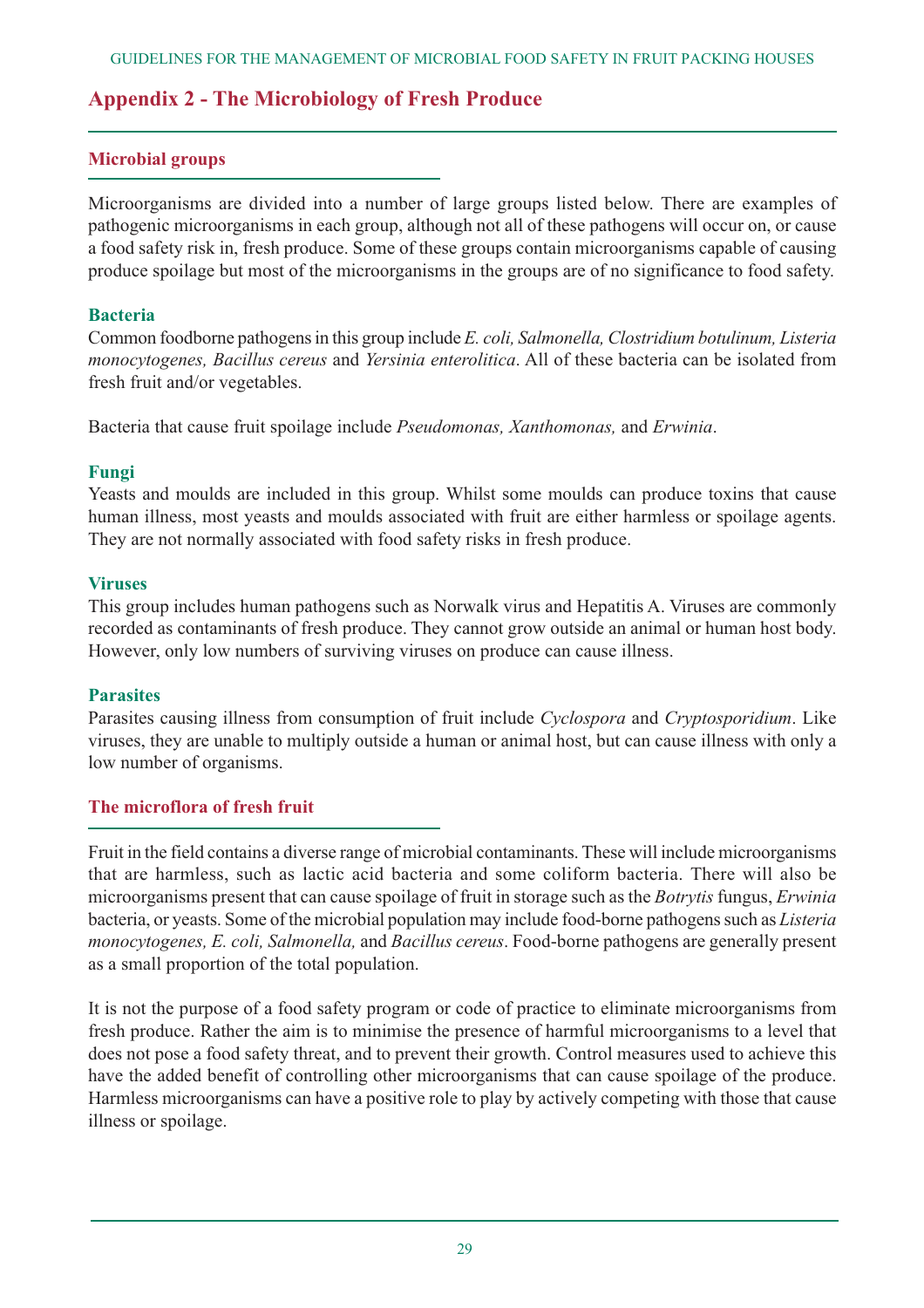# **Appendix 2 - The Microbiology of Fresh Produce**

#### **Microbial groups**

Microorganisms are divided into a number of large groups listed below. There are examples of pathogenic microorganisms in each group, although not all of these pathogens will occur on, or cause a food safety risk in, fresh produce. Some of these groups contain microorganisms capable of causing produce spoilage but most of the microorganisms in the groups are of no significance to food safety.

#### **Bacteria**

Common foodborne pathogens in this group include *E. coli, Salmonella, Clostridium botulinum, Listeria monocytogenes, Bacillus cereus* and *Yersinia enterolitica*. All of these bacteria can be isolated from fresh fruit and/or vegetables.

Bacteria that cause fruit spoilage include *Pseudomonas, Xanthomonas,* and *Erwinia*.

#### **Fungi**

Yeasts and moulds are included in this group. Whilst some moulds can produce toxins that cause human illness, most yeasts and moulds associated with fruit are either harmless or spoilage agents. They are not normally associated with food safety risks in fresh produce.

#### **Viruses**

This group includes human pathogens such as Norwalk virus and Hepatitis A. Viruses are commonly recorded as contaminants of fresh produce. They cannot grow outside an animal or human host body. However, only low numbers of surviving viruses on produce can cause illness.

#### **Parasites**

Parasites causing illness from consumption of fruit include *Cyclospora* and *Cryptosporidium*. Like viruses, they are unable to multiply outside a human or animal host, but can cause illness with only a low number of organisms.

#### **The microflora of fresh fruit**

Fruit in the field contains a diverse range of microbial contaminants. These will include microorganisms that are harmless, such as lactic acid bacteria and some coliform bacteria. There will also be microorganisms present that can cause spoilage of fruit in storage such as the *Botrytis*fungus, *Erwinia* bacteria, or yeasts. Some of the microbial population may include food-borne pathogens such as *Listeria monocytogenes, E. coli, Salmonella,* and *Bacillus cereus*. Food-borne pathogens are generally present as a small proportion of the total population.

It is not the purpose of a food safety program or code of practice to eliminate microorganisms from fresh produce. Rather the aim is to minimise the presence of harmful microorganisms to a level that does not pose a food safety threat, and to prevent their growth. Control measures used to achieve this have the added benefit of controlling other microorganisms that can cause spoilage of the produce. Harmless microorganisms can have a positive role to play by actively competing with those that cause illness or spoilage.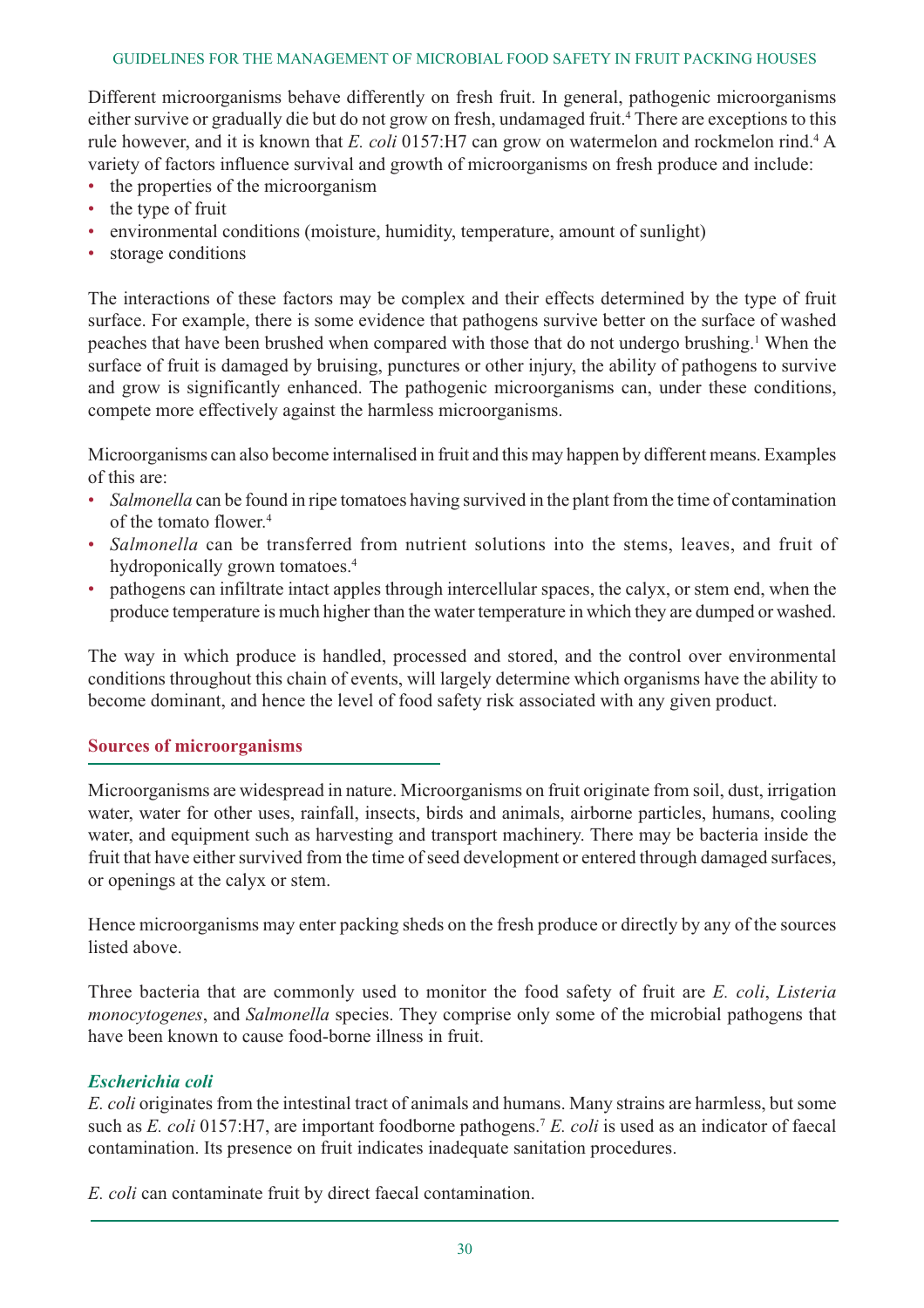#### GUIDELINES FOR THE MANAGEMENT OF MICROBIAL FOOD SAFETY IN FRUIT PACKING HOUSES

Different microorganisms behave differently on fresh fruit. In general, pathogenic microorganisms either survive or gradually die but do not grow on fresh, undamaged fruit.<sup>4</sup> There are exceptions to this rule however, and it is known that *E. coli* 0157:H7 can grow on watermelon and rockmelon rind.<sup>4</sup> A variety of factors influence survival and growth of microorganisms on fresh produce and include:

- the properties of the microorganism
- the type of fruit
- environmental conditions (moisture, humidity, temperature, amount of sunlight)
- storage conditions

The interactions of these factors may be complex and their effects determined by the type of fruit surface. For example, there is some evidence that pathogens survive better on the surface of washed peaches that have been brushed when compared with those that do not undergo brushing.<sup>1</sup> When the surface of fruit is damaged by bruising, punctures or other injury, the ability of pathogens to survive and grow is significantly enhanced. The pathogenic microorganisms can, under these conditions, compete more effectively against the harmless microorganisms.

Microorganisms can also become internalised in fruit and this may happen by different means. Examples of this are:

- *Salmonella* can be found in ripe tomatoes having survived in the plant from the time of contamination of the tomato flower<sup>4</sup>
- *Salmonella* can be transferred from nutrient solutions into the stems, leaves, and fruit of hydroponically grown tomatoes.<sup>4</sup>
- pathogens can infiltrate intact apples through intercellular spaces, the calyx, or stem end, when the produce temperature is much higher than the water temperature in which they are dumped or washed.

The way in which produce is handled, processed and stored, and the control over environmental conditions throughout this chain of events, will largely determine which organisms have the ability to become dominant, and hence the level of food safety risk associated with any given product.

#### **Sources of microorganisms**

Microorganisms are widespread in nature. Microorganisms on fruit originate from soil, dust, irrigation water, water for other uses, rainfall, insects, birds and animals, airborne particles, humans, cooling water, and equipment such as harvesting and transport machinery. There may be bacteria inside the fruit that have either survived from the time of seed development or entered through damaged surfaces, or openings at the calyx or stem.

Hence microorganisms may enter packing sheds on the fresh produce or directly by any of the sources listed above.

Three bacteria that are commonly used to monitor the food safety of fruit are *E. coli*, *Listeria monocytogenes*, and *Salmonella* species. They comprise only some of the microbial pathogens that have been known to cause food-borne illness in fruit.

#### *Escherichia coli*

*E. coli* originates from the intestinal tract of animals and humans. Many strains are harmless, but some such as *E. coli* 0157:H7, are important foodborne pathogens.7 *E. coli* is used as an indicator of faecal contamination. Its presence on fruit indicates inadequate sanitation procedures.

*E. coli* can contaminate fruit by direct faecal contamination.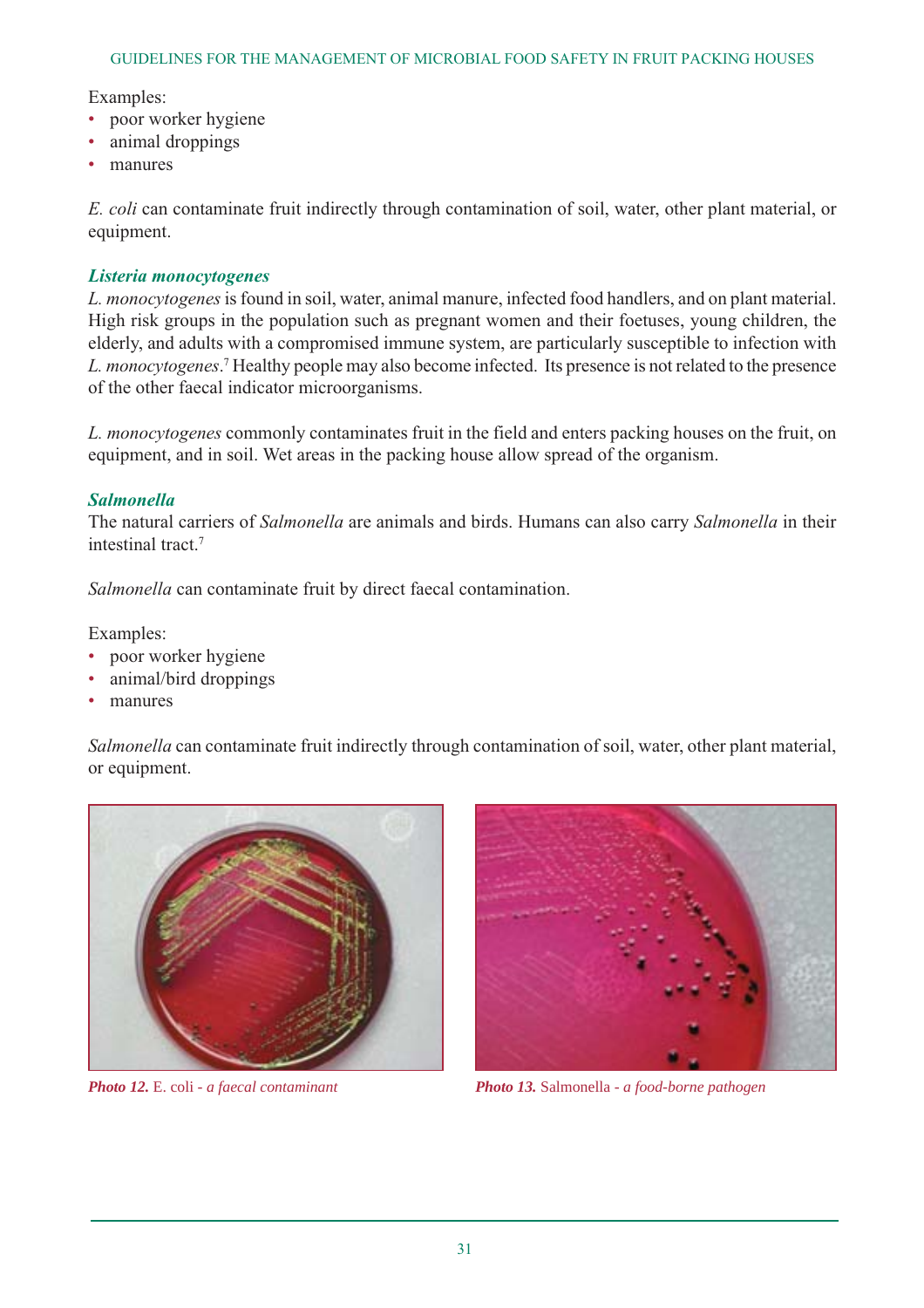#### Examples:

- poor worker hygiene
- animal droppings
- manures

*E. coli* can contaminate fruit indirectly through contamination of soil, water, other plant material, or equipment.

#### *Listeria monocytogenes*

*L. monocytogenes*is found in soil, water, animal manure, infected food handlers, and on plant material. High risk groups in the population such as pregnant women and their foetuses, young children, the elderly, and adults with a compromised immune system, are particularly susceptible to infection with *L. monocytogenes*. <sup>7</sup> Healthy people may also become infected. Its presence is not related to the presence of the other faecal indicator microorganisms.

*L. monocytogenes* commonly contaminates fruit in the field and enters packing houses on the fruit, on equipment, and in soil. Wet areas in the packing house allow spread of the organism.

#### *Salmonella*

The natural carriers of *Salmonella* are animals and birds. Humans can also carry *Salmonella* in their intestinal tract.7

*Salmonella* can contaminate fruit by direct faecal contamination.

Examples:

- poor worker hygiene
- animal/bird droppings
- manures

*Salmonella* can contaminate fruit indirectly through contamination of soil, water, other plant material, or equipment.





*Photo 12.* E. coli *- a faecal contaminant Photo 13.* Salmonella *- a food-borne pathogen*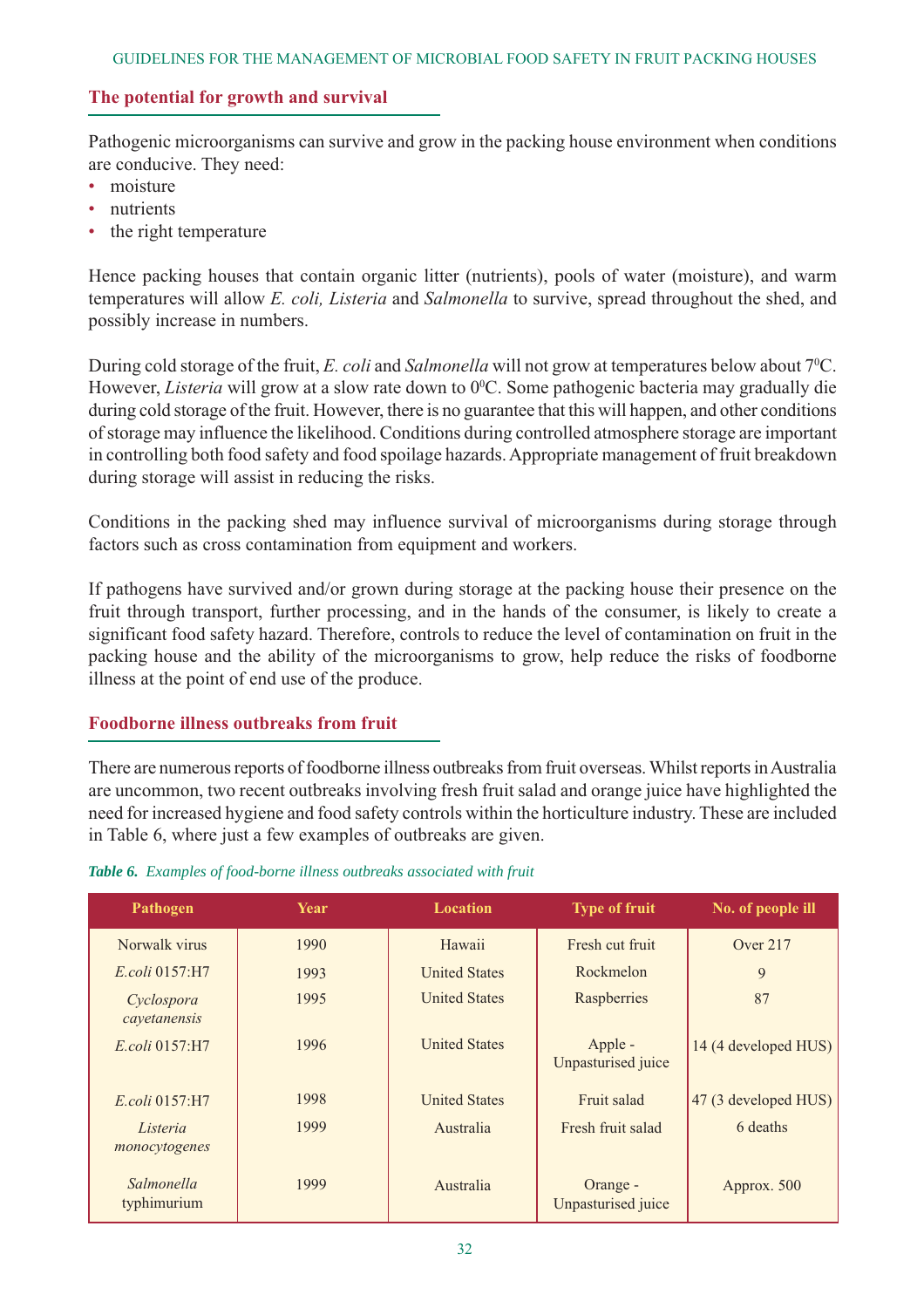#### **The potential for growth and survival**

Pathogenic microorganisms can survive and grow in the packing house environment when conditions are conducive. They need:

- moisture
- nutrients
- the right temperature

Hence packing houses that contain organic litter (nutrients), pools of water (moisture), and warm temperatures will allow *E. coli, Listeria* and *Salmonella* to survive, spread throughout the shed, and possibly increase in numbers.

During cold storage of the fruit, *E. coli* and *Salmonella* will not grow at temperatures below about 7<sup>o</sup>C. However, *Listeria* will grow at a slow rate down to 0°C. Some pathogenic bacteria may gradually die during cold storage of the fruit. However, there is no guarantee that this will happen, and other conditions of storage may influence the likelihood. Conditions during controlled atmosphere storage are important in controlling both food safety and food spoilage hazards. Appropriate management of fruit breakdown during storage will assist in reducing the risks.

Conditions in the packing shed may influence survival of microorganisms during storage through factors such as cross contamination from equipment and workers.

If pathogens have survived and/or grown during storage at the packing house their presence on the fruit through transport, further processing, and in the hands of the consumer, is likely to create a significant food safety hazard. Therefore, controls to reduce the level of contamination on fruit in the packing house and the ability of the microorganisms to grow, help reduce the risks of foodborne illness at the point of end use of the produce.

#### **Foodborne illness outbreaks from fruit**

There are numerous reports of foodborne illness outbreaks from fruit overseas. Whilst reports in Australia are uncommon, two recent outbreaks involving fresh fruit salad and orange juice have highlighted the need for increased hygiene and food safety controls within the horticulture industry. These are included in Table 6, where just a few examples of outbreaks are given.

#### *Table 6. Examples of food-borne illness outbreaks associated with fruit*

| Pathogen                   | Year | <b>Location</b>      | <b>Type of fruit</b>           | No. of people ill    |
|----------------------------|------|----------------------|--------------------------------|----------------------|
| Norwalk virus              | 1990 | Hawaii               | Fresh cut fruit                | Over 217             |
| <i>E.coli</i> 0157:H7      | 1993 | <b>United States</b> | Rockmelon                      | 9                    |
| Cyclospora<br>cayetanensis | 1995 | <b>United States</b> | Raspberries                    | 87                   |
| <i>E.coli</i> 0157:H7      | 1996 | <b>United States</b> | Apple -<br>Unpasturised juice  | 14 (4 developed HUS) |
| E.coli 0157:H7             | 1998 | <b>United States</b> | Fruit salad                    | 47 (3 developed HUS) |
| Listeria<br>monocytogenes  | 1999 | Australia            | Fresh fruit salad              | 6 deaths             |
| Salmonella<br>typhimurium  | 1999 | Australia            | Orange -<br>Unpasturised juice | Approx. 500          |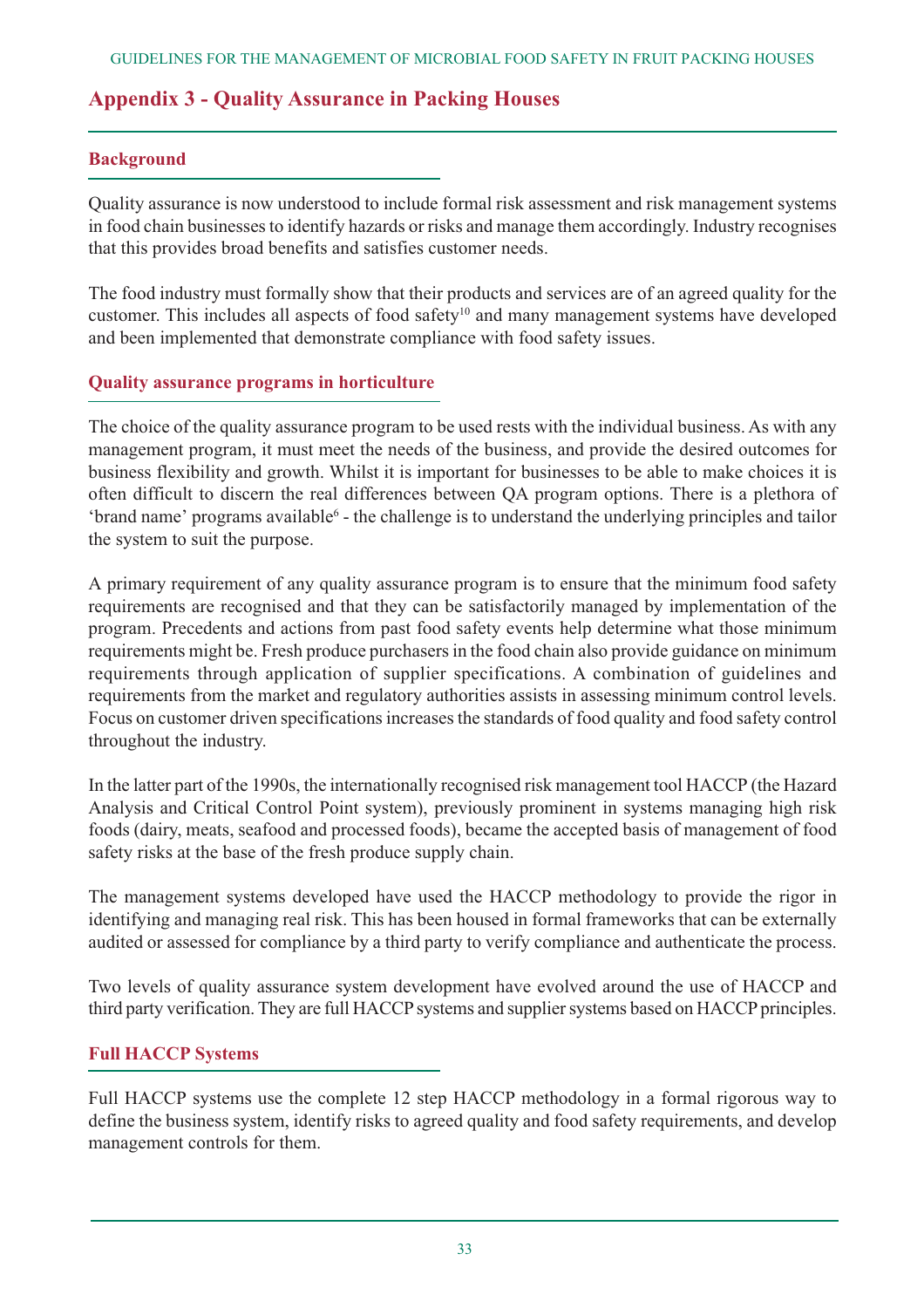# **Appendix 3 - Quality Assurance in Packing Houses**

#### **Background**

Quality assurance is now understood to include formal risk assessment and risk management systems in food chain businesses to identify hazards or risks and manage them accordingly. Industry recognises that this provides broad benefits and satisfies customer needs.

The food industry must formally show that their products and services are of an agreed quality for the customer. This includes all aspects of food safety<sup>10</sup> and many management systems have developed and been implemented that demonstrate compliance with food safety issues.

# **Quality assurance programs in horticulture**

The choice of the quality assurance program to be used rests with the individual business. As with any management program, it must meet the needs of the business, and provide the desired outcomes for business flexibility and growth. Whilst it is important for businesses to be able to make choices it is often difficult to discern the real differences between QA program options. There is a plethora of 'brand name' programs available<sup>6</sup> - the challenge is to understand the underlying principles and tailor the system to suit the purpose.

A primary requirement of any quality assurance program is to ensure that the minimum food safety requirements are recognised and that they can be satisfactorily managed by implementation of the program. Precedents and actions from past food safety events help determine what those minimum requirements might be. Fresh produce purchasers in the food chain also provide guidance on minimum requirements through application of supplier specifications. A combination of guidelines and requirements from the market and regulatory authorities assists in assessing minimum control levels. Focus on customer driven specifications increases the standards of food quality and food safety control throughout the industry.

In the latter part of the 1990s, the internationally recognised risk management tool HACCP (the Hazard Analysis and Critical Control Point system), previously prominent in systems managing high risk foods (dairy, meats, seafood and processed foods), became the accepted basis of management of food safety risks at the base of the fresh produce supply chain.

The management systems developed have used the HACCP methodology to provide the rigor in identifying and managing real risk. This has been housed in formal frameworks that can be externally audited or assessed for compliance by a third party to verify compliance and authenticate the process.

Two levels of quality assurance system development have evolved around the use of HACCP and third party verification. They are full HACCP systems and supplier systems based on HACCP principles.

# **Full HACCP Systems**

Full HACCP systems use the complete 12 step HACCP methodology in a formal rigorous way to define the business system, identify risks to agreed quality and food safety requirements, and develop management controls for them.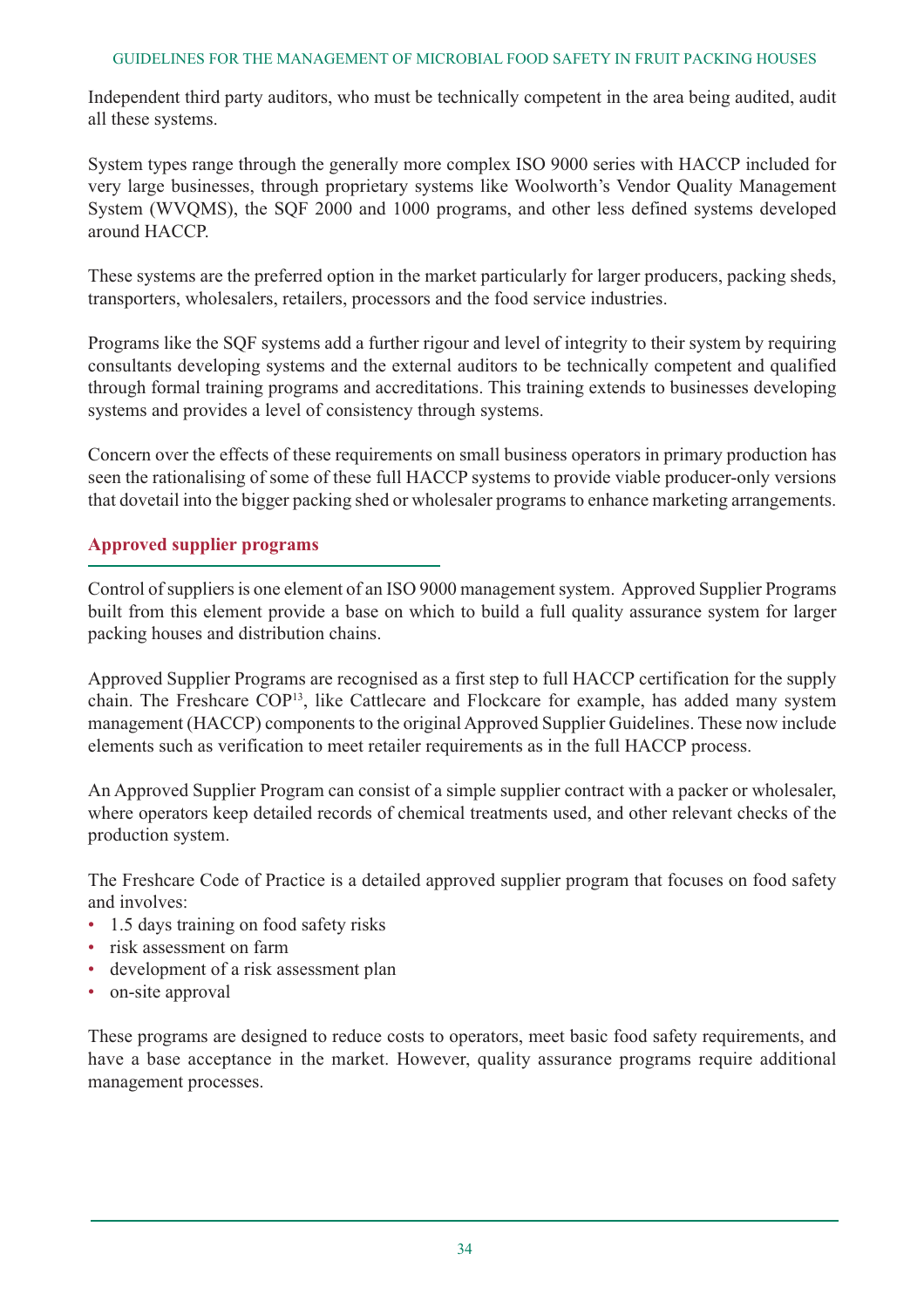#### GUIDELINES FOR THE MANAGEMENT OF MICROBIAL FOOD SAFETY IN FRUIT PACKING HOUSES

Independent third party auditors, who must be technically competent in the area being audited, audit all these systems.

System types range through the generally more complex ISO 9000 series with HACCP included for very large businesses, through proprietary systems like Woolworth's Vendor Quality Management System (WVQMS), the SQF 2000 and 1000 programs, and other less defined systems developed around HACCP.

These systems are the preferred option in the market particularly for larger producers, packing sheds, transporters, wholesalers, retailers, processors and the food service industries.

Programs like the SQF systems add a further rigour and level of integrity to their system by requiring consultants developing systems and the external auditors to be technically competent and qualified through formal training programs and accreditations. This training extends to businesses developing systems and provides a level of consistency through systems.

Concern over the effects of these requirements on small business operators in primary production has seen the rationalising of some of these full HACCP systems to provide viable producer-only versions that dovetail into the bigger packing shed or wholesaler programs to enhance marketing arrangements.

# **Approved supplier programs**

Control of suppliers is one element of an ISO 9000 management system. Approved Supplier Programs built from this element provide a base on which to build a full quality assurance system for larger packing houses and distribution chains.

Approved Supplier Programs are recognised as a first step to full HACCP certification for the supply chain. The Freshcare COP13, like Cattlecare and Flockcare for example, has added many system management (HACCP) components to the original Approved Supplier Guidelines. These now include elements such as verification to meet retailer requirements as in the full HACCP process.

An Approved Supplier Program can consist of a simple supplier contract with a packer or wholesaler, where operators keep detailed records of chemical treatments used, and other relevant checks of the production system.

The Freshcare Code of Practice is a detailed approved supplier program that focuses on food safety and involves:

- 1.5 days training on food safety risks
- risk assessment on farm
- development of a risk assessment plan
- on-site approval

These programs are designed to reduce costs to operators, meet basic food safety requirements, and have a base acceptance in the market. However, quality assurance programs require additional management processes.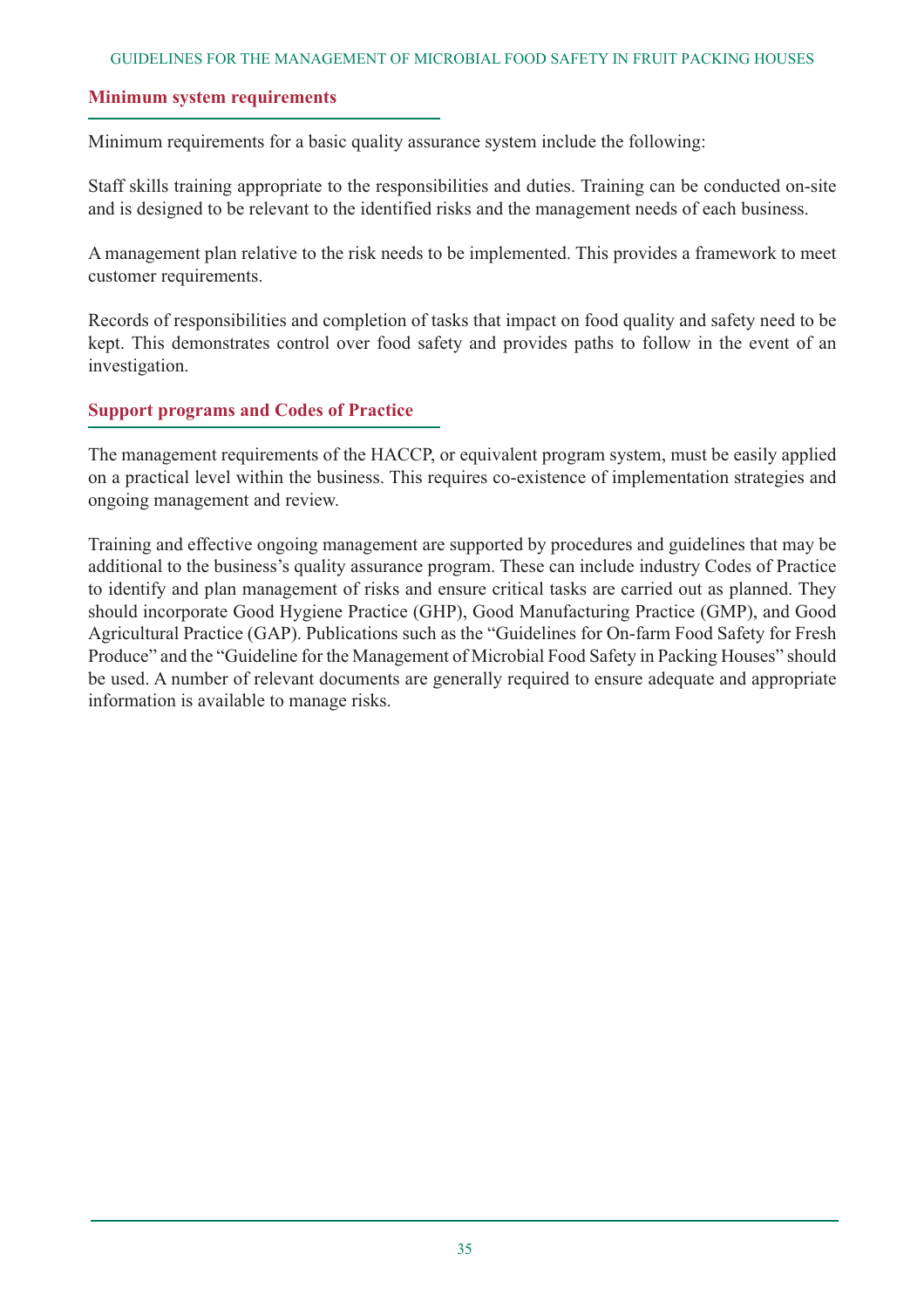#### **Minimum system requirements**

Minimum requirements for a basic quality assurance system include the following:

Staff skills training appropriate to the responsibilities and duties. Training can be conducted on-site and is designed to be relevant to the identified risks and the management needs of each business.

A management plan relative to the risk needs to be implemented. This provides a framework to meet customer requirements.

Records of responsibilities and completion of tasks that impact on food quality and safety need to be kept. This demonstrates control over food safety and provides paths to follow in the event of an investigation.

#### **Support programs and Codes of Practice**

The management requirements of the HACCP, or equivalent program system, must be easily applied on a practical level within the business. This requires co-existence of implementation strategies and ongoing management and review.

Training and effective ongoing management are supported by procedures and guidelines that may be additional to the business's quality assurance program. These can include industry Codes of Practice to identify and plan management of risks and ensure critical tasks are carried out as planned. They should incorporate Good Hygiene Practice (GHP), Good Manufacturing Practice (GMP), and Good Agricultural Practice (GAP). Publications such as the "Guidelines for On-farm Food Safety for Fresh Produce" and the "Guideline for the Management of Microbial Food Safety in Packing Houses" should be used. A number of relevant documents are generally required to ensure adequate and appropriate information is available to manage risks.